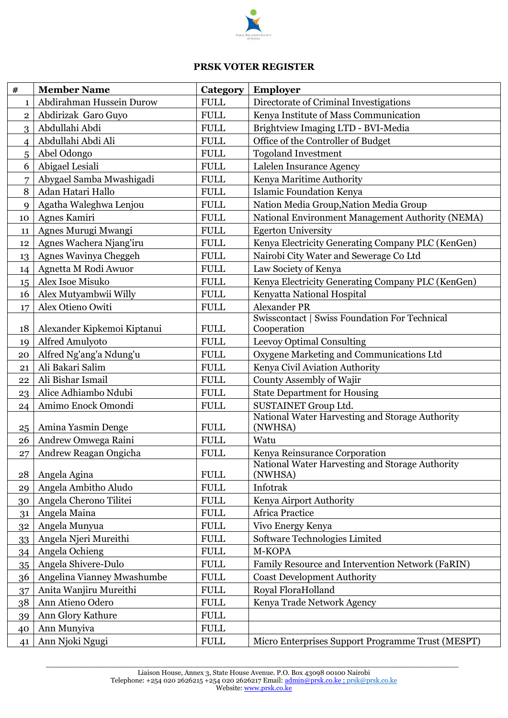

## **PRSK VOTER REGISTER**

| $\#$           | <b>Member Name</b>          | Category    | <b>Employer</b>                                                         |
|----------------|-----------------------------|-------------|-------------------------------------------------------------------------|
| 1              | Abdirahman Hussein Durow    | <b>FULL</b> | Directorate of Criminal Investigations                                  |
| $\overline{2}$ | Abdirizak Garo Guyo         | <b>FULL</b> | Kenya Institute of Mass Communication                                   |
| 3              | Abdullahi Abdi              | <b>FULL</b> | Brightview Imaging LTD - BVI-Media                                      |
| 4              | Abdullahi Abdi Ali          | <b>FULL</b> | Office of the Controller of Budget                                      |
| 5              | Abel Odongo                 | <b>FULL</b> | <b>Togoland Investment</b>                                              |
| 6              | Abigael Lesiali             | <b>FULL</b> | Lalelen Insurance Agency                                                |
|                | Abygael Samba Mwashigadi    | <b>FULL</b> | Kenya Maritime Authority                                                |
| 8              | Adan Hatari Hallo           | <b>FULL</b> | <b>Islamic Foundation Kenya</b>                                         |
| $\mathbf Q$    | Agatha Waleghwa Lenjou      | <b>FULL</b> | Nation Media Group, Nation Media Group                                  |
| 10             | Agnes Kamiri                | <b>FULL</b> | National Environment Management Authority (NEMA)                        |
| 11             | Agnes Murugi Mwangi         | <b>FULL</b> | <b>Egerton University</b>                                               |
| 12             | Agnes Wachera Njang'iru     | <b>FULL</b> | Kenya Electricity Generating Company PLC (KenGen)                       |
| 13             | Agnes Wavinya Cheggeh       | <b>FULL</b> | Nairobi City Water and Sewerage Co Ltd                                  |
| 14             | Agnetta M Rodi Awuor        | <b>FULL</b> | Law Society of Kenya                                                    |
| 15             | Alex Isoe Misuko            | <b>FULL</b> | Kenya Electricity Generating Company PLC (KenGen)                       |
| 16             | Alex Mutyambwii Willy       | <b>FULL</b> | Kenyatta National Hospital                                              |
| 17             | Alex Otieno Owiti           | <b>FULL</b> | <b>Alexander PR</b>                                                     |
|                |                             |             | Swisscontact   Swiss Foundation For Technical                           |
| 18             | Alexander Kipkemoi Kiptanui | <b>FULL</b> | Cooperation                                                             |
| 19             | Alfred Amulyoto             | <b>FULL</b> | <b>Leevoy Optimal Consulting</b>                                        |
| 20             | Alfred Ng'ang'a Ndung'u     | <b>FULL</b> | Oxygene Marketing and Communications Ltd                                |
| 21             | Ali Bakari Salim            | <b>FULL</b> | Kenya Civil Aviation Authority                                          |
| 22             | Ali Bishar Ismail           | <b>FULL</b> | County Assembly of Wajir                                                |
| 23             | Alice Adhiambo Ndubi        | <b>FULL</b> | <b>State Department for Housing</b>                                     |
| 24             | Amimo Enock Omondi          | <b>FULL</b> | SUSTAINET Group Ltd.<br>National Water Harvesting and Storage Authority |
| 25             | Amina Yasmin Denge          | <b>FULL</b> | (NWHSA)                                                                 |
| 26             | Andrew Omwega Raini         | <b>FULL</b> | Watu                                                                    |
| 27             | Andrew Reagan Ongicha       | <b>FULL</b> | Kenya Reinsurance Corporation                                           |
|                |                             |             | National Water Harvesting and Storage Authority                         |
| 28             | Angela Agina                | <b>FULL</b> | (NWHSA)                                                                 |
| 29             | Angela Ambitho Aludo        | <b>FULL</b> | Infotrak                                                                |
| 30             | Angela Cherono Tilitei      | <b>FULL</b> | Kenya Airport Authority                                                 |
| 31             | Angela Maina                | <b>FULL</b> | Africa Practice                                                         |
| 32             | Angela Munyua               | <b>FULL</b> | Vivo Energy Kenya                                                       |
| 33             | Angela Njeri Mureithi       | <b>FULL</b> | Software Technologies Limited                                           |
| 34             | Angela Ochieng              | <b>FULL</b> | M-KOPA                                                                  |
| 35             | Angela Shivere-Dulo         | <b>FULL</b> | Family Resource and Intervention Network (FaRIN)                        |
| 36             | Angelina Vianney Mwashumbe  | <b>FULL</b> | <b>Coast Development Authority</b>                                      |
| 37             | Anita Wanjiru Mureithi      | <b>FULL</b> | Royal FloraHolland                                                      |
| 38             | Ann Atieno Odero            | <b>FULL</b> | Kenya Trade Network Agency                                              |
| 39             | Ann Glory Kathure           | <b>FULL</b> |                                                                         |
| 40             | Ann Munyiva                 | <b>FULL</b> |                                                                         |
| 41             | Ann Njoki Ngugi             | <b>FULL</b> | Micro Enterprises Support Programme Trust (MESPT)                       |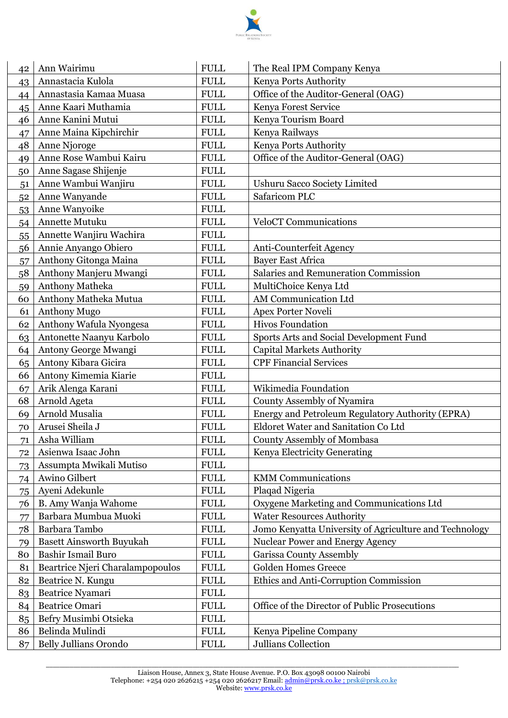

| 42 | Ann Wairimu                      | <b>FULL</b> | The Real IPM Company Kenya                             |
|----|----------------------------------|-------------|--------------------------------------------------------|
| 43 | Annastacia Kulola                | <b>FULL</b> | Kenya Ports Authority                                  |
| 44 | Annastasia Kamaa Muasa           | <b>FULL</b> | Office of the Auditor-General (OAG)                    |
| 45 | Anne Kaari Muthamia              | <b>FULL</b> | Kenya Forest Service                                   |
| 46 | Anne Kanini Mutui                | <b>FULL</b> | Kenya Tourism Board                                    |
| 47 | Anne Maina Kipchirchir           | <b>FULL</b> | Kenya Railways                                         |
| 48 | Anne Njoroge                     | <b>FULL</b> | Kenya Ports Authority                                  |
| 49 | Anne Rose Wambui Kairu           | <b>FULL</b> | Office of the Auditor-General (OAG)                    |
| 50 | Anne Sagase Shijenje             | <b>FULL</b> |                                                        |
| 51 | Anne Wambui Wanjiru              | <b>FULL</b> | Ushuru Sacco Society Limited                           |
| 52 | Anne Wanyande                    | <b>FULL</b> | Safaricom PLC                                          |
| 53 | Anne Wanyoike                    | <b>FULL</b> |                                                        |
| 54 | Annette Mutuku                   | <b>FULL</b> | <b>VeloCT</b> Communications                           |
| 55 | Annette Wanjiru Wachira          | <b>FULL</b> |                                                        |
| 56 | Annie Anyango Obiero             | <b>FULL</b> | Anti-Counterfeit Agency                                |
| 57 | Anthony Gitonga Maina            | <b>FULL</b> | <b>Bayer East Africa</b>                               |
| 58 | Anthony Manjeru Mwangi           | <b>FULL</b> | Salaries and Remuneration Commission                   |
| 59 | Anthony Matheka                  | <b>FULL</b> | MultiChoice Kenya Ltd                                  |
| 60 | Anthony Matheka Mutua            | <b>FULL</b> | AM Communication Ltd                                   |
| 61 | Anthony Mugo                     | <b>FULL</b> | Apex Porter Noveli                                     |
| 62 | Anthony Wafula Nyongesa          | <b>FULL</b> | <b>Hivos Foundation</b>                                |
| 63 | Antonette Naanyu Karbolo         | <b>FULL</b> | Sports Arts and Social Development Fund                |
| 64 | Antony George Mwangi             | <b>FULL</b> | <b>Capital Markets Authority</b>                       |
| 65 | Antony Kibara Gicira             | <b>FULL</b> | <b>CPF Financial Services</b>                          |
| 66 | Antony Kimemia Kiarie            | <b>FULL</b> |                                                        |
| 67 | Arik Alenga Karani               | <b>FULL</b> | Wikimedia Foundation                                   |
| 68 | Arnold Ageta                     | <b>FULL</b> | County Assembly of Nyamira                             |
| 69 | Arnold Musalia                   | <b>FULL</b> | Energy and Petroleum Regulatory Authority (EPRA)       |
| 70 | Arusei Sheila J                  | <b>FULL</b> | Eldoret Water and Sanitation Co Ltd                    |
| 71 | Asha William                     | <b>FULL</b> | <b>County Assembly of Mombasa</b>                      |
| 72 | Asienwa Isaac John               | <b>FULL</b> | Kenya Electricity Generating                           |
| 73 | Assumpta Mwikali Mutiso          | <b>FULL</b> |                                                        |
| 74 | Awino Gilbert                    | <b>FULL</b> | <b>KMM</b> Communications                              |
| 75 | Ayeni Adekunle                   | <b>FULL</b> | Plaqad Nigeria                                         |
| 76 | B. Amy Wanja Wahome              | <b>FULL</b> | Oxygene Marketing and Communications Ltd               |
| 77 | Barbara Mumbua Muoki             | <b>FULL</b> | <b>Water Resources Authority</b>                       |
| 78 | Barbara Tambo                    | <b>FULL</b> | Jomo Kenyatta University of Agriculture and Technology |
| 79 | <b>Basett Ainsworth Buyukah</b>  | <b>FULL</b> | <b>Nuclear Power and Energy Agency</b>                 |
| 80 | <b>Bashir Ismail Buro</b>        | <b>FULL</b> | <b>Garissa County Assembly</b>                         |
| 81 | Beartrice Njeri Charalampopoulos | <b>FULL</b> | <b>Golden Homes Greece</b>                             |
| 82 | Beatrice N. Kungu                | <b>FULL</b> | Ethics and Anti-Corruption Commission                  |
| 83 | Beatrice Nyamari                 | <b>FULL</b> |                                                        |
| 84 | Beatrice Omari                   | <b>FULL</b> | Office of the Director of Public Prosecutions          |
| 85 | Befry Musimbi Otsieka            | <b>FULL</b> |                                                        |
| 86 | Belinda Mulindi                  | <b>FULL</b> | Kenya Pipeline Company                                 |
| 87 | <b>Belly Jullians Orondo</b>     | <b>FULL</b> | Jullians Collection                                    |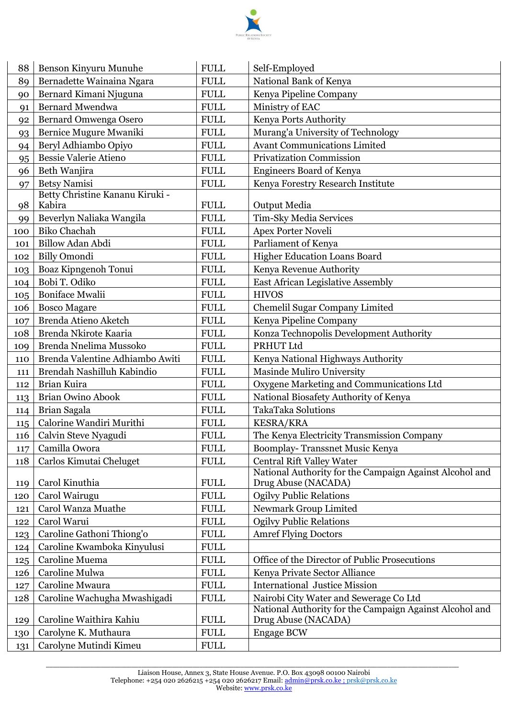

| 88  | Benson Kinyuru Munuhe           | <b>FULL</b> | Self-Employed                                                                  |
|-----|---------------------------------|-------------|--------------------------------------------------------------------------------|
| 89  | Bernadette Wainaina Ngara       | <b>FULL</b> | National Bank of Kenya                                                         |
| 90  | Bernard Kimani Njuguna          | <b>FULL</b> | Kenya Pipeline Company                                                         |
| 91  | <b>Bernard Mwendwa</b>          | <b>FULL</b> | Ministry of EAC                                                                |
| 92  | Bernard Omwenga Osero           | <b>FULL</b> | Kenya Ports Authority                                                          |
| 93  | Bernice Mugure Mwaniki          | <b>FULL</b> | Murang'a University of Technology                                              |
| 94  | Beryl Adhiambo Opiyo            | <b>FULL</b> | <b>Avant Communications Limited</b>                                            |
| 95  | Bessie Valerie Atieno           | <b>FULL</b> | Privatization Commission                                                       |
| 96  | Beth Wanjira                    | <b>FULL</b> | <b>Engineers Board of Kenya</b>                                                |
| 97  | <b>Betsy Namisi</b>             | <b>FULL</b> | Kenya Forestry Research Institute                                              |
|     | Betty Christine Kananu Kiruki - |             |                                                                                |
| 98  | Kabira                          | <b>FULL</b> | Output Media                                                                   |
| 99  | Beverlyn Naliaka Wangila        | <b>FULL</b> | Tim-Sky Media Services                                                         |
| 100 | <b>Biko Chachah</b>             | <b>FULL</b> | Apex Porter Noveli                                                             |
| 101 | <b>Billow Adan Abdi</b>         | <b>FULL</b> | Parliament of Kenya                                                            |
| 102 | <b>Billy Omondi</b>             | <b>FULL</b> | <b>Higher Education Loans Board</b>                                            |
| 103 | Boaz Kipngenoh Tonui            | <b>FULL</b> | Kenya Revenue Authority                                                        |
| 104 | Bobi T. Odiko                   | <b>FULL</b> | <b>East African Legislative Assembly</b>                                       |
| 105 | <b>Boniface Mwalii</b>          | <b>FULL</b> | <b>HIVOS</b>                                                                   |
| 106 | <b>Bosco Magare</b>             | <b>FULL</b> | Chemelil Sugar Company Limited                                                 |
| 107 | Brenda Atieno Aketch            | <b>FULL</b> | Kenya Pipeline Company                                                         |
| 108 | Brenda Nkirote Kaaria           | <b>FULL</b> | Konza Technopolis Development Authority                                        |
| 109 | Brenda Nnelima Mussoko          | <b>FULL</b> | PRHUT Ltd                                                                      |
| 110 | Brenda Valentine Adhiambo Awiti | <b>FULL</b> | Kenya National Highways Authority                                              |
| 111 | Brendah Nashilluh Kabindio      | <b>FULL</b> | <b>Masinde Muliro University</b>                                               |
| 112 | Brian Kuira                     | <b>FULL</b> | Oxygene Marketing and Communications Ltd                                       |
| 113 | <b>Brian Owino Abook</b>        | <b>FULL</b> | National Biosafety Authority of Kenya                                          |
| 114 | Brian Sagala                    | <b>FULL</b> | <b>TakaTaka Solutions</b>                                                      |
| 115 | Calorine Wandiri Murithi        | <b>FULL</b> | <b>KESRA/KRA</b>                                                               |
| 116 | Calvin Steve Nyagudi            | <b>FULL</b> | The Kenya Electricity Transmission Company                                     |
| 117 | Camilla Owora                   | <b>FULL</b> | Boomplay-Transsnet Music Kenya                                                 |
| 118 | Carlos Kimutai Cheluget         | <b>FULL</b> | <b>Central Rift Valley Water</b>                                               |
| 119 | Carol Kinuthia                  | <b>FULL</b> | National Authority for the Campaign Against Alcohol and<br>Drug Abuse (NACADA) |
| 120 | Carol Wairugu                   | <b>FULL</b> | <b>Ogilvy Public Relations</b>                                                 |
| 121 | Carol Wanza Muathe              | <b>FULL</b> | Newmark Group Limited                                                          |
| 122 | Carol Warui                     | <b>FULL</b> | <b>Ogilvy Public Relations</b>                                                 |
| 123 | Caroline Gathoni Thiong'o       | <b>FULL</b> | <b>Amref Flying Doctors</b>                                                    |
| 124 | Caroline Kwamboka Kinyulusi     | <b>FULL</b> |                                                                                |
| 125 | Caroline Muema                  | <b>FULL</b> | Office of the Director of Public Prosecutions                                  |
| 126 | Caroline Mulwa                  | <b>FULL</b> | Kenya Private Sector Alliance                                                  |
| 127 | Caroline Mwaura                 | <b>FULL</b> | <b>International Justice Mission</b>                                           |
| 128 | Caroline Wachugha Mwashigadi    | <b>FULL</b> | Nairobi City Water and Sewerage Co Ltd                                         |
|     |                                 |             | National Authority for the Campaign Against Alcohol and                        |
| 129 | Caroline Waithira Kahiu         | <b>FULL</b> | Drug Abuse (NACADA)                                                            |
| 130 | Carolyne K. Muthaura            | <b>FULL</b> | <b>Engage BCW</b>                                                              |
| 131 | Carolyne Mutindi Kimeu          | <b>FULL</b> |                                                                                |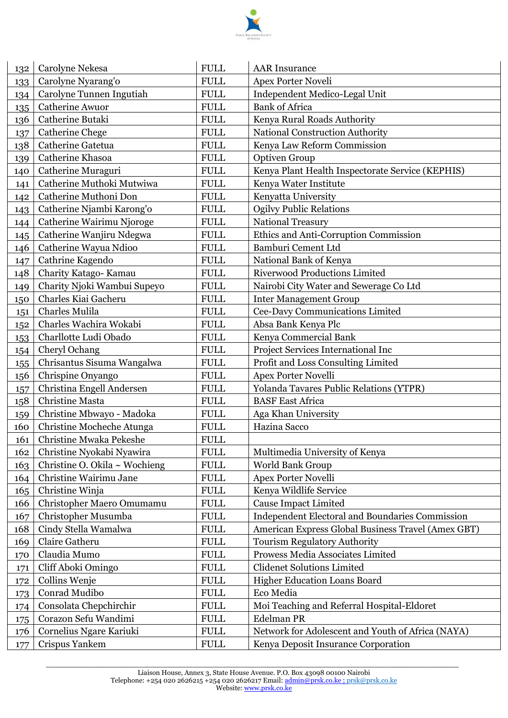

| 132 | Carolyne Nekesa               | <b>FULL</b> | <b>AAR</b> Insurance                               |
|-----|-------------------------------|-------------|----------------------------------------------------|
| 133 | Carolyne Nyarang'o            | <b>FULL</b> | Apex Porter Noveli                                 |
| 134 | Carolyne Tunnen Ingutiah      | <b>FULL</b> | Independent Medico-Legal Unit                      |
| 135 | Catherine Awuor               | <b>FULL</b> | <b>Bank of Africa</b>                              |
| 136 | Catherine Butaki              | <b>FULL</b> | Kenya Rural Roads Authority                        |
| 137 | <b>Catherine Chege</b>        | <b>FULL</b> | National Construction Authority                    |
| 138 | Catherine Gatetua             | <b>FULL</b> | Kenya Law Reform Commission                        |
| 139 | Catherine Khasoa              | <b>FULL</b> | <b>Optiven Group</b>                               |
| 140 | Catherine Muraguri            | <b>FULL</b> | Kenya Plant Health Inspectorate Service (KEPHIS)   |
| 141 | Catherine Muthoki Mutwiwa     | <b>FULL</b> | Kenya Water Institute                              |
| 142 | Catherine Muthoni Don         | <b>FULL</b> | Kenyatta University                                |
| 143 | Catherine Njambi Karong'o     | <b>FULL</b> | <b>Ogilvy Public Relations</b>                     |
| 144 | Catherine Wairimu Njoroge     | <b>FULL</b> | <b>National Treasury</b>                           |
| 145 | Catherine Wanjiru Ndegwa      | <b>FULL</b> | Ethics and Anti-Corruption Commission              |
| 146 | Catherine Wayua Ndioo         | <b>FULL</b> | Bamburi Cement Ltd                                 |
| 147 | Cathrine Kagendo              | <b>FULL</b> | National Bank of Kenya                             |
| 148 | Charity Katago- Kamau         | <b>FULL</b> | <b>Riverwood Productions Limited</b>               |
| 149 | Charity Njoki Wambui Supeyo   | <b>FULL</b> | Nairobi City Water and Sewerage Co Ltd             |
| 150 | Charles Kiai Gacheru          | <b>FULL</b> | <b>Inter Management Group</b>                      |
| 151 | <b>Charles Mulila</b>         | <b>FULL</b> | Cee-Davy Communications Limited                    |
| 152 | Charles Wachira Wokabi        | <b>FULL</b> | Absa Bank Kenya Plc                                |
| 153 | Charllotte Ludi Obado         | <b>FULL</b> | Kenya Commercial Bank                              |
| 154 | Cheryl Ochang                 | <b>FULL</b> | Project Services International Inc                 |
| 155 | Chrisantus Sisuma Wangalwa    | <b>FULL</b> | Profit and Loss Consulting Limited                 |
| 156 | Chrispine Onyango             | <b>FULL</b> | Apex Porter Novelli                                |
| 157 | Christina Engell Andersen     | <b>FULL</b> | Yolanda Tavares Public Relations (YTPR)            |
| 158 | Christine Masta               | <b>FULL</b> | <b>BASF</b> East Africa                            |
| 159 | Christine Mbwayo - Madoka     | <b>FULL</b> | Aga Khan University                                |
| 160 | Christine Mocheche Atunga     | <b>FULL</b> | Hazina Sacco                                       |
| 161 | Christine Mwaka Pekeshe       | <b>FULL</b> |                                                    |
| 162 | Christine Nyokabi Nyawira     | <b>FULL</b> | Multimedia University of Kenya                     |
| 163 | Christine O. Okila ~ Wochieng | <b>FULL</b> | <b>World Bank Group</b>                            |
| 164 | Christine Wairimu Jane        | <b>FULL</b> | Apex Porter Novelli                                |
| 165 | Christine Winja               | <b>FULL</b> | Kenya Wildlife Service                             |
| 166 | Christopher Maero Omumamu     | <b>FULL</b> | <b>Cause Impact Limited</b>                        |
| 167 | Christopher Musumba           | <b>FULL</b> | Independent Electoral and Boundaries Commission    |
| 168 | Cindy Stella Wamalwa          | <b>FULL</b> | American Express Global Business Travel (Amex GBT) |
| 169 | Claire Gatheru                | <b>FULL</b> | <b>Tourism Regulatory Authority</b>                |
| 170 | Claudia Mumo                  | <b>FULL</b> | Prowess Media Associates Limited                   |
| 171 | Cliff Aboki Omingo            | <b>FULL</b> | <b>Clidenet Solutions Limited</b>                  |
| 172 | Collins Wenje                 | <b>FULL</b> | <b>Higher Education Loans Board</b>                |
| 173 | Conrad Mudibo                 | <b>FULL</b> | Eco Media                                          |
| 174 | Consolata Chepchirchir        | <b>FULL</b> | Moi Teaching and Referral Hospital-Eldoret         |
| 175 | Corazon Sefu Wandimi          | <b>FULL</b> | Edelman PR                                         |
| 176 | Cornelius Ngare Kariuki       | <b>FULL</b> | Network for Adolescent and Youth of Africa (NAYA)  |
| 177 | Crispus Yankem                | <b>FULL</b> | Kenya Deposit Insurance Corporation                |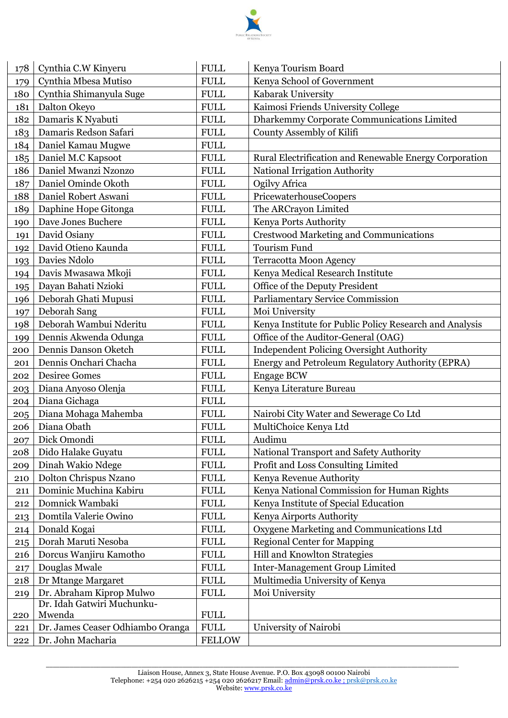

| 178 | Cynthia C.W Kinyeru              | <b>FULL</b>   | Kenya Tourism Board                                     |
|-----|----------------------------------|---------------|---------------------------------------------------------|
| 179 | Cynthia Mbesa Mutiso             | <b>FULL</b>   | Kenya School of Government                              |
| 180 | Cynthia Shimanyula Suge          | <b>FULL</b>   | Kabarak University                                      |
| 181 | Dalton Okeyo                     | <b>FULL</b>   | Kaimosi Friends University College                      |
| 182 | Damaris K Nyabuti                | <b>FULL</b>   | Dharkemmy Corporate Communications Limited              |
| 183 | Damaris Redson Safari            | <b>FULL</b>   | County Assembly of Kilifi                               |
| 184 | Daniel Kamau Mugwe               | <b>FULL</b>   |                                                         |
| 185 | Daniel M.C Kapsoot               | <b>FULL</b>   | Rural Electrification and Renewable Energy Corporation  |
| 186 | Daniel Mwanzi Nzonzo             | <b>FULL</b>   | National Irrigation Authority                           |
| 187 | Daniel Ominde Okoth              | <b>FULL</b>   | Ogilvy Africa                                           |
| 188 | Daniel Robert Aswani             | <b>FULL</b>   | PricewaterhouseCoopers                                  |
| 189 | Daphine Hope Gitonga             | <b>FULL</b>   | The ARCrayon Limited                                    |
| 190 | Dave Jones Buchere               | <b>FULL</b>   | Kenya Ports Authority                                   |
| 191 | David Osiany                     | <b>FULL</b>   | <b>Crestwood Marketing and Communications</b>           |
| 192 | David Otieno Kaunda              | <b>FULL</b>   | <b>Tourism Fund</b>                                     |
| 193 | Davies Ndolo                     | <b>FULL</b>   | <b>Terracotta Moon Agency</b>                           |
| 194 | Davis Mwasawa Mkoji              | <b>FULL</b>   | Kenya Medical Research Institute                        |
| 195 | Dayan Bahati Nzioki              | <b>FULL</b>   | Office of the Deputy President                          |
| 196 | Deborah Ghati Mupusi             | <b>FULL</b>   | <b>Parliamentary Service Commission</b>                 |
| 197 | Deborah Sang                     | <b>FULL</b>   | Moi University                                          |
| 198 | Deborah Wambui Nderitu           | <b>FULL</b>   | Kenya Institute for Public Policy Research and Analysis |
| 199 | Dennis Akwenda Odunga            | <b>FULL</b>   | Office of the Auditor-General (OAG)                     |
| 200 | Dennis Danson Oketch             | <b>FULL</b>   | <b>Independent Policing Oversight Authority</b>         |
| 201 | Dennis Onchari Chacha            | <b>FULL</b>   | Energy and Petroleum Regulatory Authority (EPRA)        |
| 202 | Desiree Gomes                    | <b>FULL</b>   | Engage BCW                                              |
| 203 | Diana Anyoso Olenja              | <b>FULL</b>   | Kenya Literature Bureau                                 |
| 204 | Diana Gichaga                    | <b>FULL</b>   |                                                         |
| 205 | Diana Mohaga Mahemba             | <b>FULL</b>   | Nairobi City Water and Sewerage Co Ltd                  |
| 206 | Diana Obath                      | <b>FULL</b>   | MultiChoice Kenya Ltd                                   |
| 207 | Dick Omondi                      | <b>FULL</b>   | Audimu                                                  |
| 208 | Dido Halake Guyatu               | <b>FULL</b>   | National Transport and Safety Authority                 |
| 209 | Dinah Wakio Ndege                | <b>FULL</b>   | Profit and Loss Consulting Limited                      |
| 210 | Dolton Chrispus Nzano            | <b>FULL</b>   | Kenya Revenue Authority                                 |
| 211 | Dominic Muchina Kabiru           | <b>FULL</b>   | Kenya National Commission for Human Rights              |
| 212 | Domnick Wambaki                  | <b>FULL</b>   | Kenya Institute of Special Education                    |
| 213 | Domtila Valerie Owino            | ${\tt FULL}$  | Kenya Airports Authority                                |
| 214 | Donald Kogai                     | <b>FULL</b>   | Oxygene Marketing and Communications Ltd                |
| 215 | Dorah Maruti Nesoba              | <b>FULL</b>   | <b>Regional Center for Mapping</b>                      |
| 216 | Dorcus Wanjiru Kamotho           | <b>FULL</b>   | Hill and Knowlton Strategies                            |
| 217 | Douglas Mwale                    | <b>FULL</b>   | Inter-Management Group Limited                          |
| 218 | Dr Mtange Margaret               | <b>FULL</b>   | Multimedia University of Kenya                          |
| 219 | Dr. Abraham Kiprop Mulwo         | <b>FULL</b>   | Moi University                                          |
|     | Dr. Idah Gatwiri Muchunku-       |               |                                                         |
| 220 | Mwenda                           | <b>FULL</b>   |                                                         |
| 221 | Dr. James Ceaser Odhiambo Oranga | <b>FULL</b>   | University of Nairobi                                   |
| 222 | Dr. John Macharia                | <b>FELLOW</b> |                                                         |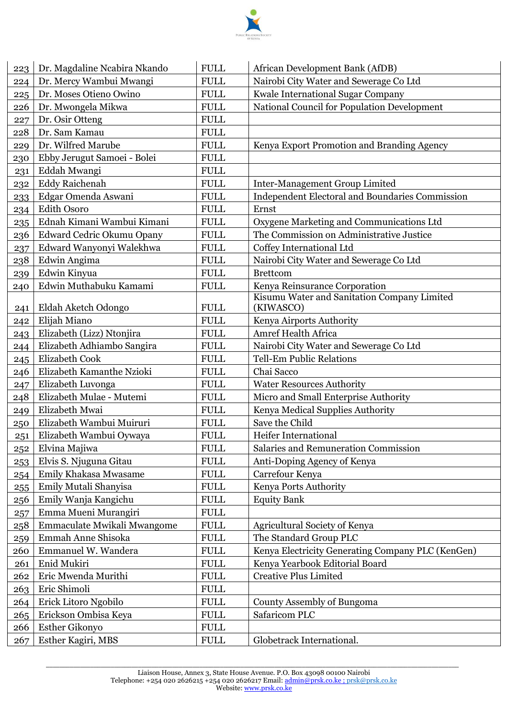

| 223 | Dr. Magdaline Ncabira Nkando | <b>FULL</b> | African Development Bank (AfDB)                   |
|-----|------------------------------|-------------|---------------------------------------------------|
| 224 | Dr. Mercy Wambui Mwangi      | <b>FULL</b> | Nairobi City Water and Sewerage Co Ltd            |
| 225 | Dr. Moses Otieno Owino       | <b>FULL</b> | Kwale International Sugar Company                 |
| 226 | Dr. Mwongela Mikwa           | <b>FULL</b> | National Council for Population Development       |
| 227 | Dr. Osir Otteng              | <b>FULL</b> |                                                   |
| 228 | Dr. Sam Kamau                | <b>FULL</b> |                                                   |
| 229 | Dr. Wilfred Marube           | <b>FULL</b> | Kenya Export Promotion and Branding Agency        |
| 230 | Ebby Jerugut Samoei - Bolei  | <b>FULL</b> |                                                   |
| 231 | Eddah Mwangi                 | <b>FULL</b> |                                                   |
| 232 | <b>Eddy Raichenah</b>        | <b>FULL</b> | <b>Inter-Management Group Limited</b>             |
| 233 | Edgar Omenda Aswani          | <b>FULL</b> | Independent Electoral and Boundaries Commission   |
| 234 | <b>Edith Osoro</b>           | <b>FULL</b> | Ernst                                             |
| 235 | Ednah Kimani Wambui Kimani   | <b>FULL</b> | Oxygene Marketing and Communications Ltd          |
| 236 | Edward Cedric Okumu Opany    | <b>FULL</b> | The Commission on Administrative Justice          |
| 237 | Edward Wanyonyi Walekhwa     | <b>FULL</b> | Coffey International Ltd                          |
| 238 | Edwin Angima                 | <b>FULL</b> | Nairobi City Water and Sewerage Co Ltd            |
| 239 | Edwin Kinyua                 | <b>FULL</b> | <b>Brettcom</b>                                   |
| 240 | Edwin Muthabuku Kamami       | <b>FULL</b> | Kenya Reinsurance Corporation                     |
|     |                              |             | Kisumu Water and Sanitation Company Limited       |
| 241 | Eldah Aketch Odongo          | <b>FULL</b> | (KIWASCO)                                         |
| 242 | Elijah Miano                 | <b>FULL</b> | Kenya Airports Authority                          |
| 243 | Elizabeth (Lizz) Ntonjira    | <b>FULL</b> | <b>Amref Health Africa</b>                        |
| 244 | Elizabeth Adhiambo Sangira   | <b>FULL</b> | Nairobi City Water and Sewerage Co Ltd            |
| 245 | Elizabeth Cook               | <b>FULL</b> | <b>Tell-Em Public Relations</b>                   |
| 246 | Elizabeth Kamanthe Nzioki    | <b>FULL</b> | Chai Sacco                                        |
| 247 | Elizabeth Luvonga            | <b>FULL</b> | <b>Water Resources Authority</b>                  |
| 248 | Elizabeth Mulae - Mutemi     | <b>FULL</b> | Micro and Small Enterprise Authority              |
| 249 | Elizabeth Mwai               | <b>FULL</b> | Kenya Medical Supplies Authority                  |
| 250 | Elizabeth Wambui Muiruri     | <b>FULL</b> | Save the Child                                    |
| 251 | Elizabeth Wambui Oywaya      | <b>FULL</b> | Heifer International                              |
| 252 | Elvina Majiwa                | <b>FULL</b> | Salaries and Remuneration Commission              |
| 253 | Elvis S. Njuguna Gitau       | <b>FULL</b> | Anti-Doping Agency of Kenya                       |
| 254 | Emily Khakasa Mwasame        | <b>FULL</b> | Carrefour Kenya                                   |
| 255 | Emily Mutali Shanyisa        | <b>FULL</b> | Kenya Ports Authority                             |
| 256 | Emily Wanja Kangichu         | <b>FULL</b> | <b>Equity Bank</b>                                |
| 257 | Emma Mueni Murangiri         | <b>FULL</b> |                                                   |
| 258 | Emmaculate Mwikali Mwangome  | <b>FULL</b> | Agricultural Society of Kenya                     |
| 259 | Emmah Anne Shisoka           | <b>FULL</b> | The Standard Group PLC                            |
| 260 | Emmanuel W. Wandera          | <b>FULL</b> | Kenya Electricity Generating Company PLC (KenGen) |
| 261 | Enid Mukiri                  | <b>FULL</b> | Kenya Yearbook Editorial Board                    |
| 262 | Eric Mwenda Murithi          | <b>FULL</b> | <b>Creative Plus Limited</b>                      |
| 263 | Eric Shimoli                 | <b>FULL</b> |                                                   |
| 264 | Erick Litoro Ngobilo         | <b>FULL</b> | County Assembly of Bungoma                        |
| 265 | Erickson Ombisa Keya         | <b>FULL</b> | Safaricom PLC                                     |
| 266 | Esther Gikonyo               | <b>FULL</b> |                                                   |
| 267 | Esther Kagiri, MBS           | <b>FULL</b> | Globetrack International.                         |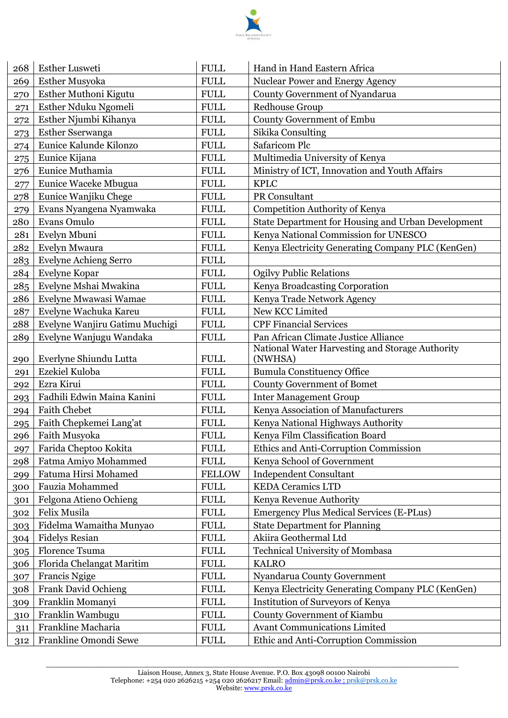

| 268 | <b>Esther Lusweti</b>          | <b>FULL</b>   | Hand in Hand Eastern Africa                        |
|-----|--------------------------------|---------------|----------------------------------------------------|
| 269 | Esther Musyoka                 | <b>FULL</b>   | <b>Nuclear Power and Energy Agency</b>             |
| 270 | Esther Muthoni Kigutu          | <b>FULL</b>   | County Government of Nyandarua                     |
| 271 | Esther Nduku Ngomeli           | <b>FULL</b>   | <b>Redhouse Group</b>                              |
| 272 | Esther Njumbi Kihanya          | <b>FULL</b>   | County Government of Embu                          |
| 273 | <b>Esther Sserwanga</b>        | <b>FULL</b>   | Sikika Consulting                                  |
| 274 | Eunice Kalunde Kilonzo         | <b>FULL</b>   | Safaricom Plc                                      |
| 275 | Eunice Kijana                  | <b>FULL</b>   | Multimedia University of Kenya                     |
| 276 | Eunice Muthamia                | <b>FULL</b>   | Ministry of ICT, Innovation and Youth Affairs      |
| 277 | Eunice Waceke Mbugua           | <b>FULL</b>   | <b>KPLC</b>                                        |
| 278 | Eunice Wanjiku Chege           | <b>FULL</b>   | PR Consultant                                      |
| 279 | Evans Nyangena Nyamwaka        | <b>FULL</b>   | <b>Competition Authority of Kenya</b>              |
| 280 | Evans Omulo                    | <b>FULL</b>   | State Department for Housing and Urban Development |
| 281 | Evelyn Mbuni                   | <b>FULL</b>   | Kenya National Commission for UNESCO               |
| 282 | Evelyn Mwaura                  | <b>FULL</b>   | Kenya Electricity Generating Company PLC (KenGen)  |
| 283 | <b>Evelyne Achieng Serro</b>   | <b>FULL</b>   |                                                    |
| 284 | <b>Evelyne Kopar</b>           | <b>FULL</b>   | <b>Ogilvy Public Relations</b>                     |
| 285 | Evelyne Mshai Mwakina          | <b>FULL</b>   | Kenya Broadcasting Corporation                     |
| 286 | Evelyne Mwawasi Wamae          | <b>FULL</b>   | Kenya Trade Network Agency                         |
| 287 | Evelyne Wachuka Kareu          | <b>FULL</b>   | New KCC Limited                                    |
| 288 | Evelyne Wanjiru Gatimu Muchigi | <b>FULL</b>   | <b>CPF Financial Services</b>                      |
| 289 | Evelyne Wanjugu Wandaka        | <b>FULL</b>   | Pan African Climate Justice Alliance               |
|     |                                |               | National Water Harvesting and Storage Authority    |
| 290 | Everlyne Shiundu Lutta         | <b>FULL</b>   | (NWHSA)                                            |
| 291 | Ezekiel Kuloba                 | <b>FULL</b>   | <b>Bumula Constituency Office</b>                  |
| 292 | Ezra Kirui                     | <b>FULL</b>   | <b>County Government of Bomet</b>                  |
| 293 | Fadhili Edwin Maina Kanini     | <b>FULL</b>   | <b>Inter Management Group</b>                      |
| 294 | <b>Faith Chebet</b>            | <b>FULL</b>   | Kenya Association of Manufacturers                 |
| 295 | Faith Chepkemei Lang'at        | <b>FULL</b>   | Kenya National Highways Authority                  |
| 296 | Faith Musyoka                  | <b>FULL</b>   | Kenya Film Classification Board                    |
| 297 | Farida Cheptoo Kokita          | <b>FULL</b>   | Ethics and Anti-Corruption Commission              |
| 298 | Fatma Amiyo Mohammed           | <b>FULL</b>   | Kenya School of Government                         |
| 299 | Fatuma Hirsi Mohamed           | <b>FELLOW</b> | <b>Independent Consultant</b>                      |
| 300 | Fauzia Mohammed                | <b>FULL</b>   | <b>KEDA</b> Ceramics LTD                           |
| 301 | Felgona Atieno Ochieng         | <b>FULL</b>   | Kenya Revenue Authority                            |
| 302 | Felix Musila                   | <b>FULL</b>   | <b>Emergency Plus Medical Services (E-PLus)</b>    |
| 303 | Fidelma Wamaitha Munyao        | <b>FULL</b>   | <b>State Department for Planning</b>               |
| 304 | <b>Fidelys Resian</b>          | <b>FULL</b>   | Akiira Geothermal Ltd                              |
| 305 | Florence Tsuma                 | <b>FULL</b>   | <b>Technical University of Mombasa</b>             |
| 306 | Florida Chelangat Maritim      | <b>FULL</b>   | <b>KALRO</b>                                       |
| 307 | Francis Ngige                  | <b>FULL</b>   | Nyandarua County Government                        |
| 308 | Frank David Ochieng            | <b>FULL</b>   | Kenya Electricity Generating Company PLC (KenGen)  |
| 309 | Franklin Momanyi               | <b>FULL</b>   | Institution of Surveyors of Kenya                  |
| 310 | Franklin Wambugu               | <b>FULL</b>   | County Government of Kiambu                        |
| 311 | Frankline Macharia             | <b>FULL</b>   | <b>Avant Communications Limited</b>                |
| 312 | Frankline Omondi Sewe          | <b>FULL</b>   | Ethic and Anti-Corruption Commission               |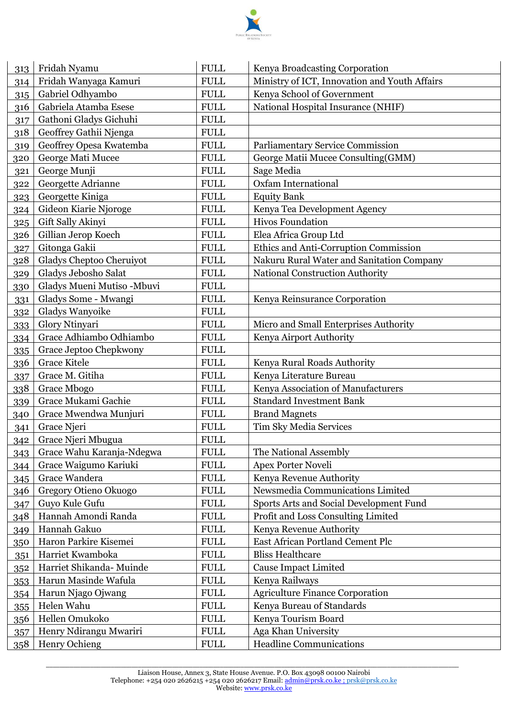

| 313 | Fridah Nyamu                | <b>FULL</b>  | Kenya Broadcasting Corporation                |
|-----|-----------------------------|--------------|-----------------------------------------------|
| 314 | Fridah Wanyaga Kamuri       | <b>FULL</b>  | Ministry of ICT, Innovation and Youth Affairs |
| 315 | Gabriel Odhyambo            | <b>FULL</b>  | Kenya School of Government                    |
| 316 | Gabriela Atamba Esese       | <b>FULL</b>  | National Hospital Insurance (NHIF)            |
| 317 | Gathoni Gladys Gichuhi      | <b>FULL</b>  |                                               |
| 318 | Geoffrey Gathii Njenga      | <b>FULL</b>  |                                               |
| 319 | Geoffrey Opesa Kwatemba     | <b>FULL</b>  | <b>Parliamentary Service Commission</b>       |
| 320 | George Mati Mucee           | <b>FULL</b>  | George Matii Mucee Consulting(GMM)            |
| 321 | George Munji                | <b>FULL</b>  | Sage Media                                    |
| 322 | Georgette Adrianne          | <b>FULL</b>  | <b>Oxfam International</b>                    |
| 323 | Georgette Kiniga            | <b>FULL</b>  | <b>Equity Bank</b>                            |
| 324 | Gideon Kiarie Njoroge       | <b>FULL</b>  | Kenya Tea Development Agency                  |
| 325 | Gift Sally Akinyi           | <b>FULL</b>  | <b>Hivos Foundation</b>                       |
| 326 | Gillian Jerop Koech         | <b>FULL</b>  | Elea Africa Group Ltd                         |
| 327 | Gitonga Gakii               | <b>FULL</b>  | Ethics and Anti-Corruption Commission         |
| 328 | Gladys Cheptoo Cheruiyot    | <b>FULL</b>  | Nakuru Rural Water and Sanitation Company     |
| 329 | Gladys Jebosho Salat        | <b>FULL</b>  | National Construction Authority               |
| 330 | Gladys Mueni Mutiso - Mbuvi | <b>FULL</b>  |                                               |
| 331 | Gladys Some - Mwangi        | <b>FULL</b>  | Kenya Reinsurance Corporation                 |
| 332 | Gladys Wanyoike             | <b>FULL</b>  |                                               |
| 333 | Glory Ntinyari              | <b>FULL</b>  | Micro and Small Enterprises Authority         |
| 334 | Grace Adhiambo Odhiambo     | <b>FULL</b>  | Kenya Airport Authority                       |
| 335 | Grace Jeptoo Chepkwony      | <b>FULL</b>  |                                               |
| 336 | <b>Grace Kitele</b>         | <b>FULL</b>  | Kenya Rural Roads Authority                   |
| 337 | Grace M. Gitiha             | <b>FULL</b>  | Kenya Literature Bureau                       |
| 338 | Grace Mbogo                 | <b>FULL</b>  | Kenya Association of Manufacturers            |
| 339 | Grace Mukami Gachie         | <b>FULL</b>  | <b>Standard Investment Bank</b>               |
| 340 | Grace Mwendwa Munjuri       | <b>FULL</b>  | <b>Brand Magnets</b>                          |
| 341 | Grace Njeri                 | <b>FULL</b>  | Tim Sky Media Services                        |
| 342 | Grace Njeri Mbugua          | <b>FULL</b>  |                                               |
| 343 | Grace Wahu Karanja-Ndegwa   | <b>FULL</b>  | The National Assembly                         |
| 344 | Grace Waigumo Kariuki       | <b>FULL</b>  | Apex Porter Noveli                            |
| 345 | Grace Wandera               | <b>FULL</b>  | Kenya Revenue Authority                       |
| 346 | Gregory Otieno Okuogo       | <b>FULL</b>  | Newsmedia Communications Limited              |
| 347 | Guyo Kule Gufu              | <b>FULL</b>  | Sports Arts and Social Development Fund       |
| 348 | Hannah Amondi Randa         | <b>FULL</b>  | Profit and Loss Consulting Limited            |
| 349 | Hannah Gakuo                | <b>FULL</b>  | Kenya Revenue Authority                       |
| 350 | Haron Parkire Kisemei       | <b>FULL</b>  | East African Portland Cement Plc              |
| 351 | Harriet Kwamboka            | <b>FULL</b>  | <b>Bliss Healthcare</b>                       |
| 352 | Harriet Shikanda- Muinde    | <b>FULL</b>  | <b>Cause Impact Limited</b>                   |
| 353 | Harun Masinde Wafula        | <b>FULL</b>  | Kenya Railways                                |
| 354 | Harun Njago Ojwang          | <b>FULL</b>  | <b>Agriculture Finance Corporation</b>        |
| 355 | Helen Wahu                  | <b>FULL</b>  | Kenya Bureau of Standards                     |
| 356 | Hellen Omukoko              | <b>FULL</b>  | Kenya Tourism Board                           |
| 357 | Henry Ndirangu Mwariri      | <b>FULL</b>  | Aga Khan University                           |
| 358 | Henry Ochieng               | ${\it FULL}$ | <b>Headline Communications</b>                |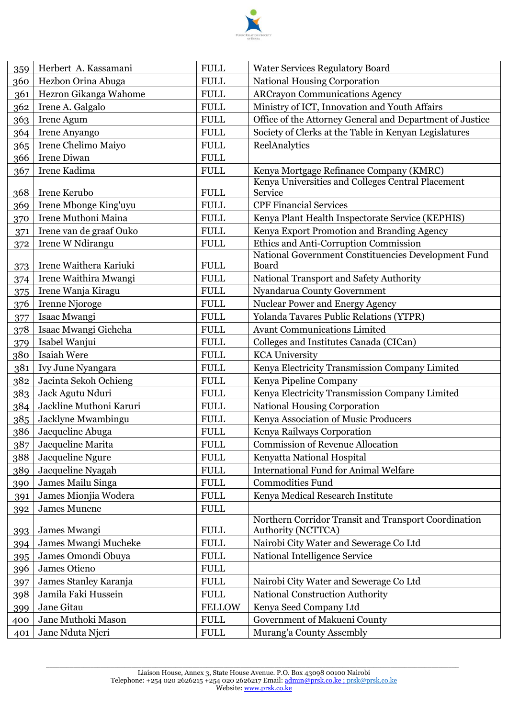

| 359 | Herbert A. Kassamani    | <b>FULL</b>   | <b>Water Services Regulatory Board</b>                              |
|-----|-------------------------|---------------|---------------------------------------------------------------------|
| 360 | Hezbon Orina Abuga      | <b>FULL</b>   | National Housing Corporation                                        |
| 361 | Hezron Gikanga Wahome   | <b>FULL</b>   | <b>ARCrayon Communications Agency</b>                               |
| 362 | Irene A. Galgalo        | <b>FULL</b>   | Ministry of ICT, Innovation and Youth Affairs                       |
| 363 | Irene Agum              | <b>FULL</b>   | Office of the Attorney General and Department of Justice            |
| 364 | Irene Anyango           | <b>FULL</b>   | Society of Clerks at the Table in Kenyan Legislatures               |
| 365 | Irene Chelimo Maiyo     | <b>FULL</b>   | ReelAnalytics                                                       |
| 366 | Irene Diwan             | <b>FULL</b>   |                                                                     |
| 367 | Irene Kadima            | <b>FULL</b>   | Kenya Mortgage Refinance Company (KMRC)                             |
|     |                         |               | Kenya Universities and Colleges Central Placement                   |
| 368 | Irene Kerubo            | <b>FULL</b>   | Service                                                             |
| 369 | Irene Mbonge King'uyu   | <b>FULL</b>   | <b>CPF Financial Services</b>                                       |
| 370 | Irene Muthoni Maina     | <b>FULL</b>   | Kenya Plant Health Inspectorate Service (KEPHIS)                    |
| 371 | Irene van de graaf Ouko | <b>FULL</b>   | Kenya Export Promotion and Branding Agency                          |
| 372 | Irene W Ndirangu        | <b>FULL</b>   | Ethics and Anti-Corruption Commission                               |
| 373 | Irene Waithera Kariuki  | <b>FULL</b>   | National Government Constituencies Development Fund<br><b>Board</b> |
| 374 | Irene Waithira Mwangi   | <b>FULL</b>   | National Transport and Safety Authority                             |
| 375 | Irene Wanja Kiragu      | <b>FULL</b>   | Nyandarua County Government                                         |
| 376 | Irenne Njoroge          | <b>FULL</b>   | <b>Nuclear Power and Energy Agency</b>                              |
| 377 | Isaac Mwangi            | <b>FULL</b>   | Yolanda Tavares Public Relations (YTPR)                             |
| 378 | Isaac Mwangi Gicheha    | <b>FULL</b>   | <b>Avant Communications Limited</b>                                 |
| 379 | Isabel Wanjui           | <b>FULL</b>   | Colleges and Institutes Canada (CICan)                              |
| 380 | <b>Isaiah Were</b>      | <b>FULL</b>   | <b>KCA University</b>                                               |
| 381 | Ivy June Nyangara       | <b>FULL</b>   | Kenya Electricity Transmission Company Limited                      |
| 382 | Jacinta Sekoh Ochieng   | <b>FULL</b>   | Kenya Pipeline Company                                              |
| 383 | Jack Agutu Nduri        | <b>FULL</b>   | Kenya Electricity Transmission Company Limited                      |
| 384 | Jackline Muthoni Karuri | <b>FULL</b>   | <b>National Housing Corporation</b>                                 |
| 385 | Jacklyne Mwambingu      | <b>FULL</b>   | Kenya Association of Music Producers                                |
| 386 | Jacqueline Abuga        | <b>FULL</b>   | Kenya Railways Corporation                                          |
| 387 | Jacqueline Marita       | <b>FULL</b>   | <b>Commission of Revenue Allocation</b>                             |
| 388 | Jacqueline Ngure        | <b>FULL</b>   | Kenyatta National Hospital                                          |
| 389 | Jacqueline Nyagah       | <b>FULL</b>   | <b>International Fund for Animal Welfare</b>                        |
| 390 | James Mailu Singa       | <b>FULL</b>   | <b>Commodities Fund</b>                                             |
| 391 | James Mionjia Wodera    | <b>FULL</b>   | Kenya Medical Research Institute                                    |
| 392 | <b>James Munene</b>     | <b>FULL</b>   |                                                                     |
|     |                         |               | Northern Corridor Transit and Transport Coordination                |
| 393 | James Mwangi            | <b>FULL</b>   | Authority (NCTTCA)                                                  |
| 394 | James Mwangi Mucheke    | <b>FULL</b>   | Nairobi City Water and Sewerage Co Ltd                              |
| 395 | James Omondi Obuya      | <b>FULL</b>   | National Intelligence Service                                       |
| 396 | James Otieno            | <b>FULL</b>   |                                                                     |
| 397 | James Stanley Karanja   | <b>FULL</b>   | Nairobi City Water and Sewerage Co Ltd                              |
| 398 | Jamila Faki Hussein     | <b>FULL</b>   | National Construction Authority                                     |
| 399 | Jane Gitau              | <b>FELLOW</b> | Kenya Seed Company Ltd                                              |
| 400 | Jane Muthoki Mason      | <b>FULL</b>   | Government of Makueni County                                        |
| 401 | Jane Nduta Njeri        | <b>FULL</b>   | Murang'a County Assembly                                            |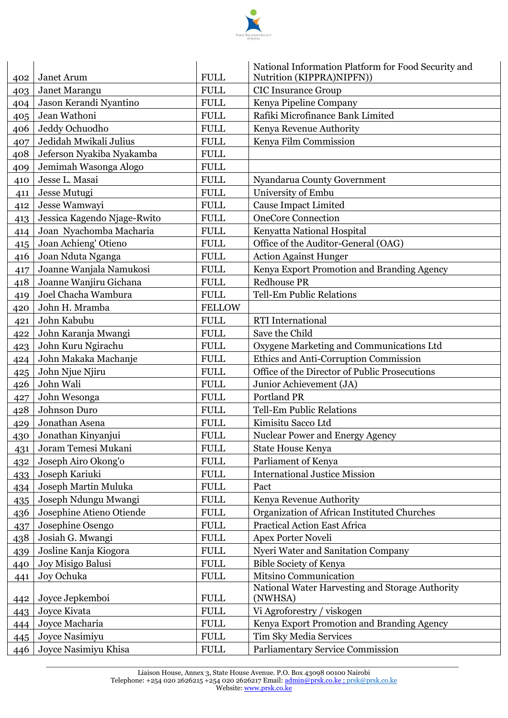

|     |                             |               | National Information Platform for Food Security and |
|-----|-----------------------------|---------------|-----------------------------------------------------|
| 402 | Janet Arum                  | <b>FULL</b>   | Nutrition (KIPPRA)NIPFN))                           |
| 403 | Janet Marangu               | <b>FULL</b>   | <b>CIC Insurance Group</b>                          |
| 404 | Jason Kerandi Nyantino      | <b>FULL</b>   | Kenya Pipeline Company                              |
| 405 | Jean Wathoni                | <b>FULL</b>   | Rafiki Microfinance Bank Limited                    |
| 406 | Jeddy Ochuodho              | <b>FULL</b>   | Kenya Revenue Authority                             |
| 407 | Jedidah Mwikali Julius      | <b>FULL</b>   | Kenya Film Commission                               |
| 408 | Jeferson Nyakiba Nyakamba   | <b>FULL</b>   |                                                     |
| 409 | Jemimah Wasonga Alogo       | <b>FULL</b>   |                                                     |
| 410 | Jesse L. Masai              | <b>FULL</b>   | Nyandarua County Government                         |
| 411 | Jesse Mutugi                | <b>FULL</b>   | University of Embu                                  |
| 412 | Jesse Wamwayi               | <b>FULL</b>   | <b>Cause Impact Limited</b>                         |
| 413 | Jessica Kagendo Njage-Rwito | <b>FULL</b>   | <b>OneCore Connection</b>                           |
| 414 | Joan Nyachomba Macharia     | <b>FULL</b>   | Kenyatta National Hospital                          |
| 415 | Joan Achieng' Otieno        | <b>FULL</b>   | Office of the Auditor-General (OAG)                 |
| 416 | Joan Nduta Nganga           | <b>FULL</b>   | <b>Action Against Hunger</b>                        |
| 417 | Joanne Wanjala Namukosi     | <b>FULL</b>   | Kenya Export Promotion and Branding Agency          |
| 418 | Joanne Wanjiru Gichana      | <b>FULL</b>   | <b>Redhouse PR</b>                                  |
| 419 | Joel Chacha Wambura         | <b>FULL</b>   | Tell-Em Public Relations                            |
| 420 | John H. Mramba              | <b>FELLOW</b> |                                                     |
| 421 | John Kabubu                 | <b>FULL</b>   | <b>RTI</b> International                            |
| 422 | John Karanja Mwangi         | <b>FULL</b>   | Save the Child                                      |
| 423 | John Kuru Ngirachu          | <b>FULL</b>   | Oxygene Marketing and Communications Ltd            |
| 424 | John Makaka Machanje        | <b>FULL</b>   | Ethics and Anti-Corruption Commission               |
| 425 | John Njue Njiru             | <b>FULL</b>   | Office of the Director of Public Prosecutions       |
| 426 | John Wali                   | <b>FULL</b>   | Junior Achievement (JA)                             |
| 427 | John Wesonga                | <b>FULL</b>   | Portland PR                                         |
| 428 | Johnson Duro                | <b>FULL</b>   | Tell-Em Public Relations                            |
| 429 | Jonathan Asena              | <b>FULL</b>   | Kimisitu Sacco Ltd                                  |
| 430 | Jonathan Kinyanjui          | <b>FULL</b>   | <b>Nuclear Power and Energy Agency</b>              |
| 431 | Joram Temesi Mukani         | <b>FULL</b>   | State House Kenya                                   |
| 432 | Joseph Airo Okong'o         | <b>FULL</b>   | Parliament of Kenya                                 |
| 433 | Joseph Kariuki              | <b>FULL</b>   | <b>International Justice Mission</b>                |
| 434 | Joseph Martin Muluka        | <b>FULL</b>   | Pact                                                |
| 435 | Joseph Ndungu Mwangi        | <b>FULL</b>   | Kenya Revenue Authority                             |
| 436 | Josephine Atieno Otiende    | <b>FULL</b>   | Organization of African Instituted Churches         |
| 437 | Josephine Osengo            | <b>FULL</b>   | <b>Practical Action East Africa</b>                 |
| 438 | Josiah G. Mwangi            | <b>FULL</b>   | Apex Porter Noveli                                  |
| 439 | Josline Kanja Kiogora       | <b>FULL</b>   | Nyeri Water and Sanitation Company                  |
| 440 | Joy Misigo Balusi           | <b>FULL</b>   | <b>Bible Society of Kenya</b>                       |
| 441 | Joy Ochuka                  | <b>FULL</b>   | Mitsino Communication                               |
|     |                             |               | National Water Harvesting and Storage Authority     |
| 442 | Joyce Jepkemboi             | <b>FULL</b>   | (NWHSA)                                             |
| 443 | Joyce Kivata                | <b>FULL</b>   | Vi Agroforestry / viskogen                          |
| 444 | Joyce Macharia              | <b>FULL</b>   | Kenya Export Promotion and Branding Agency          |
| 445 | Joyce Nasimiyu              | <b>FULL</b>   | Tim Sky Media Services                              |
| 446 | Joyce Nasimiyu Khisa        | <b>FULL</b>   | Parliamentary Service Commission                    |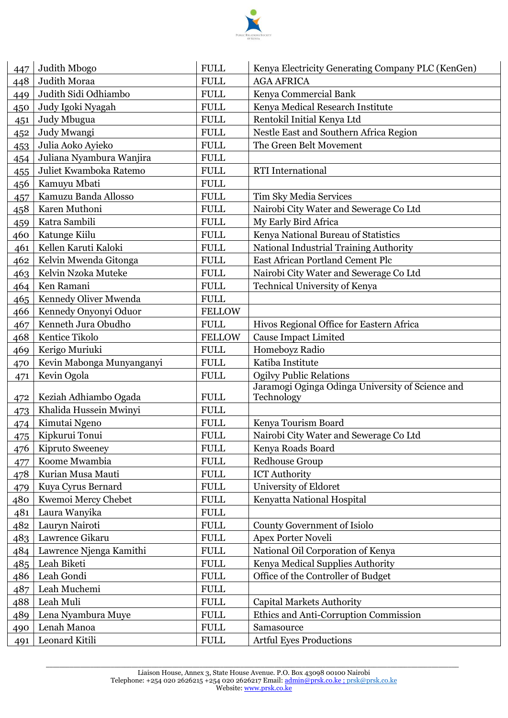

| 447 | Judith Mbogo              | <b>FULL</b>   | Kenya Electricity Generating Company PLC (KenGen) |
|-----|---------------------------|---------------|---------------------------------------------------|
| 448 | Judith Moraa              | <b>FULL</b>   | <b>AGA AFRICA</b>                                 |
| 449 | Judith Sidi Odhiambo      | <b>FULL</b>   | Kenya Commercial Bank                             |
| 450 | Judy Igoki Nyagah         | <b>FULL</b>   | Kenya Medical Research Institute                  |
| 451 | Judy Mbugua               | <b>FULL</b>   | Rentokil Initial Kenya Ltd                        |
| 452 | Judy Mwangi               | <b>FULL</b>   | Nestle East and Southern Africa Region            |
| 453 | Julia Aoko Ayieko         | <b>FULL</b>   | The Green Belt Movement                           |
| 454 | Juliana Nyambura Wanjira  | <b>FULL</b>   |                                                   |
| 455 | Juliet Kwamboka Ratemo    | <b>FULL</b>   | <b>RTI</b> International                          |
| 456 | Kamuyu Mbati              | <b>FULL</b>   |                                                   |
| 457 | Kamuzu Banda Allosso      | <b>FULL</b>   | Tim Sky Media Services                            |
| 458 | Karen Muthoni             | <b>FULL</b>   | Nairobi City Water and Sewerage Co Ltd            |
| 459 | Katra Sambili             | <b>FULL</b>   | My Early Bird Africa                              |
| 460 | Katunge Kiilu             | <b>FULL</b>   | Kenya National Bureau of Statistics               |
| 461 | Kellen Karuti Kaloki      | <b>FULL</b>   | National Industrial Training Authority            |
| 462 | Kelvin Mwenda Gitonga     | <b>FULL</b>   | East African Portland Cement Plc                  |
| 463 | Kelvin Nzoka Muteke       | <b>FULL</b>   | Nairobi City Water and Sewerage Co Ltd            |
| 464 | Ken Ramani                | <b>FULL</b>   | <b>Technical University of Kenya</b>              |
| 465 | Kennedy Oliver Mwenda     | <b>FULL</b>   |                                                   |
| 466 | Kennedy Onyonyi Oduor     | <b>FELLOW</b> |                                                   |
| 467 | Kenneth Jura Obudho       | <b>FULL</b>   | Hivos Regional Office for Eastern Africa          |
| 468 | Kentice Tikolo            | <b>FELLOW</b> | <b>Cause Impact Limited</b>                       |
| 469 | Kerigo Muriuki            | <b>FULL</b>   | Homeboyz Radio                                    |
| 470 | Kevin Mabonga Munyanganyi | <b>FULL</b>   | Katiba Institute                                  |
| 471 | Kevin Ogola               | <b>FULL</b>   | <b>Ogilvy Public Relations</b>                    |
|     |                           |               | Jaramogi Oginga Odinga University of Science and  |
| 472 | Keziah Adhiambo Ogada     | <b>FULL</b>   | Technology                                        |
| 473 | Khalida Hussein Mwinyi    | <b>FULL</b>   |                                                   |
| 474 | Kimutai Ngeno             | <b>FULL</b>   | Kenya Tourism Board                               |
| 475 | Kipkurui Tonui            | <b>FULL</b>   | Nairobi City Water and Sewerage Co Ltd            |
| 476 | Kipruto Sweeney           | <b>FULL</b>   | Kenya Roads Board                                 |
| 477 | Koome Mwambia             | <b>FULL</b>   | <b>Redhouse Group</b>                             |
| 478 | Kurian Musa Mauti         | <b>FULL</b>   | <b>ICT Authority</b>                              |
| 479 | Kuya Cyrus Bernard        | <b>FULL</b>   | University of Eldoret                             |
| 480 | Kwemoi Mercy Chebet       | <b>FULL</b>   | Kenyatta National Hospital                        |
| 481 | Laura Wanyika             | <b>FULL</b>   |                                                   |
| 482 | Lauryn Nairoti            | <b>FULL</b>   | <b>County Government of Isiolo</b>                |
| 483 | Lawrence Gikaru           | <b>FULL</b>   | Apex Porter Noveli                                |
| 484 | Lawrence Njenga Kamithi   | <b>FULL</b>   | National Oil Corporation of Kenya                 |
| 485 | Leah Biketi               | <b>FULL</b>   | Kenya Medical Supplies Authority                  |
| 486 | Leah Gondi                | <b>FULL</b>   | Office of the Controller of Budget                |
| 487 | Leah Muchemi              | <b>FULL</b>   |                                                   |
| 488 | Leah Muli                 | <b>FULL</b>   | <b>Capital Markets Authority</b>                  |
| 489 | Lena Nyambura Muye        | <b>FULL</b>   | Ethics and Anti-Corruption Commission             |
| 490 | Lenah Manoa               | <b>FULL</b>   | Samasource                                        |
| 491 | Leonard Kitili            | <b>FULL</b>   | <b>Artful Eyes Productions</b>                    |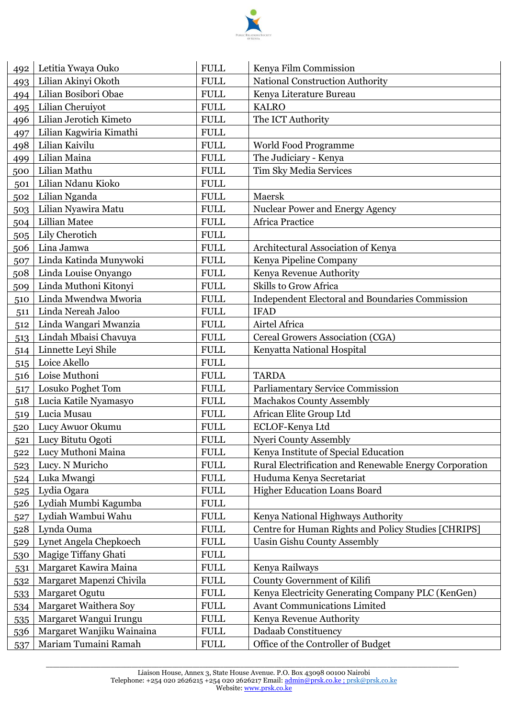

| 492             | Letitia Ywaya Ouko        | <b>FULL</b> | Kenya Film Commission                                  |
|-----------------|---------------------------|-------------|--------------------------------------------------------|
| 493             | Lilian Akinyi Okoth       | <b>FULL</b> | National Construction Authority                        |
| 494             | Lilian Bosibori Obae      | <b>FULL</b> | Kenya Literature Bureau                                |
| 495             | Lilian Cheruiyot          | <b>FULL</b> | <b>KALRO</b>                                           |
| 496             | Lilian Jerotich Kimeto    | <b>FULL</b> | The ICT Authority                                      |
| 497             | Lilian Kagwiria Kimathi   | <b>FULL</b> |                                                        |
| 498             | Lilian Kaivilu            | <b>FULL</b> | World Food Programme                                   |
| 499             | Lilian Maina              | <b>FULL</b> | The Judiciary - Kenya                                  |
| 500             | Lilian Mathu              | <b>FULL</b> | Tim Sky Media Services                                 |
| 501             | Lilian Ndanu Kioko        | <b>FULL</b> |                                                        |
| 502             | Lilian Nganda             | <b>FULL</b> | Maersk                                                 |
| 503             | Lilian Nyawira Matu       | <b>FULL</b> | <b>Nuclear Power and Energy Agency</b>                 |
| 504             | Lillian Matee             | <b>FULL</b> | Africa Practice                                        |
| 505             | Lily Cherotich            | <b>FULL</b> |                                                        |
| 506             | Lina Jamwa                | <b>FULL</b> | Architectural Association of Kenya                     |
| 507             | Linda Katinda Munywoki    | <b>FULL</b> | Kenya Pipeline Company                                 |
| 508             | Linda Louise Onyango      | <b>FULL</b> | Kenya Revenue Authority                                |
| 509             | Linda Muthoni Kitonyi     | <b>FULL</b> | Skills to Grow Africa                                  |
| 510             | Linda Mwendwa Mworia      | <b>FULL</b> | Independent Electoral and Boundaries Commission        |
| 511             | Linda Nereah Jaloo        | <b>FULL</b> | <b>IFAD</b>                                            |
| 512             | Linda Wangari Mwanzia     | <b>FULL</b> | Airtel Africa                                          |
| 513             | Lindah Mbaisi Chavuya     | <b>FULL</b> | Cereal Growers Association (CGA)                       |
| 514             | Linnette Leyi Shile       | <b>FULL</b> | Kenyatta National Hospital                             |
| 515             | Loice Akello              | <b>FULL</b> |                                                        |
| 516             | Loise Muthoni             | <b>FULL</b> | <b>TARDA</b>                                           |
| 517             | Losuko Poghet Tom         | <b>FULL</b> | <b>Parliamentary Service Commission</b>                |
| 518             | Lucia Katile Nyamasyo     | <b>FULL</b> | <b>Machakos County Assembly</b>                        |
| 519             | Lucia Musau               | <b>FULL</b> | African Elite Group Ltd                                |
| 520             | Lucy Awuor Okumu          | <b>FULL</b> | ECLOF-Kenya Ltd                                        |
| 521             | Lucy Bitutu Ogoti         | <b>FULL</b> | <b>Nyeri County Assembly</b>                           |
| 522             | Lucy Muthoni Maina        | <b>FULL</b> | Kenya Institute of Special Education                   |
| 523             | Lucy. N Muricho           | <b>FULL</b> | Rural Electrification and Renewable Energy Corporation |
| 524             | Luka Mwangi               | <b>FULL</b> | Huduma Kenya Secretariat                               |
| 5 <sup>25</sup> | Lydia Ogara               | <b>FULL</b> | <b>Higher Education Loans Board</b>                    |
| 526             | Lydiah Mumbi Kagumba      | <b>FULL</b> |                                                        |
| 527             | Lydiah Wambui Wahu        | <b>FULL</b> | Kenya National Highways Authority                      |
| 528             | Lynda Ouma                | <b>FULL</b> | Centre for Human Rights and Policy Studies [CHRIPS]    |
| 529             | Lynet Angela Chepkoech    | <b>FULL</b> | <b>Uasin Gishu County Assembly</b>                     |
| 530             | Magige Tiffany Ghati      | <b>FULL</b> |                                                        |
| 531             | Margaret Kawira Maina     | <b>FULL</b> | Kenya Railways                                         |
| 532             | Margaret Mapenzi Chivila  | <b>FULL</b> | <b>County Government of Kilifi</b>                     |
| 533             | Margaret Ogutu            | <b>FULL</b> | Kenya Electricity Generating Company PLC (KenGen)      |
| 534             | Margaret Waithera Soy     | <b>FULL</b> | <b>Avant Communications Limited</b>                    |
| 535             | Margaret Wangui Irungu    | <b>FULL</b> | Kenya Revenue Authority                                |
| 536             | Margaret Wanjiku Wainaina | <b>FULL</b> | Dadaab Constituency                                    |
| 537             | Mariam Tumaini Ramah      | <b>FULL</b> | Office of the Controller of Budget                     |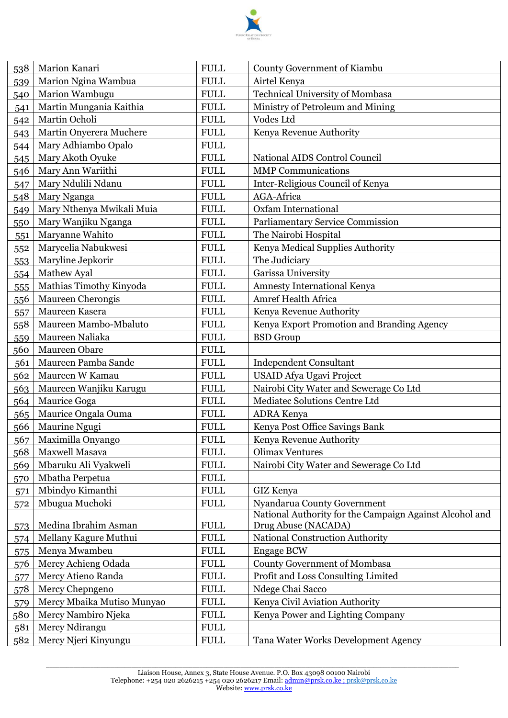

| 538 | Marion Kanari              | <b>FULL</b>     | County Government of Kiambu                                                    |
|-----|----------------------------|-----------------|--------------------------------------------------------------------------------|
| 539 | Marion Ngina Wambua        | <b>FULL</b>     | Airtel Kenya                                                                   |
| 540 | Marion Wambugu             | <b>FULL</b>     | Technical University of Mombasa                                                |
| 541 | Martin Mungania Kaithia    | <b>FULL</b>     | Ministry of Petroleum and Mining                                               |
| 542 | Martin Ocholi              | <b>FULL</b>     | Vodes Ltd                                                                      |
| 543 | Martin Onyerera Muchere    | <b>FULL</b>     | Kenya Revenue Authority                                                        |
| 544 | Mary Adhiambo Opalo        | <b>FULL</b>     |                                                                                |
| 545 | Mary Akoth Oyuke           | <b>FULL</b>     | National AIDS Control Council                                                  |
| 546 | Mary Ann Wariithi          | <b>FULL</b>     | <b>MMP</b> Communications                                                      |
| 547 | Mary Ndulili Ndanu         | <b>FULL</b>     | Inter-Religious Council of Kenya                                               |
| 548 | Mary Nganga                | <b>FULL</b>     | AGA-Africa                                                                     |
| 549 | Mary Nthenya Mwikali Muia  | <b>FULL</b>     | Oxfam International                                                            |
| 550 | Mary Wanjiku Nganga        | <b>FULL</b>     | Parliamentary Service Commission                                               |
| 551 | Maryanne Wahito            | <b>FULL</b>     | The Nairobi Hospital                                                           |
| 552 | Marycelia Nabukwesi        | <b>FULL</b>     | Kenya Medical Supplies Authority                                               |
| 553 | Maryline Jepkorir          | <b>FULL</b>     | The Judiciary                                                                  |
| 554 | Mathew Ayal                | <b>FULL</b>     | Garissa University                                                             |
| 555 | Mathias Timothy Kinyoda    | <b>FULL</b>     | <b>Amnesty International Kenya</b>                                             |
| 556 | <b>Maureen Cherongis</b>   | <b>FULL</b>     | <b>Amref Health Africa</b>                                                     |
| 557 | Maureen Kasera             | <b>FULL</b>     | Kenya Revenue Authority                                                        |
| 558 | Maureen Mambo-Mbaluto      | <b>FULL</b>     | Kenya Export Promotion and Branding Agency                                     |
| 559 | Maureen Naliaka            | <b>FULL</b>     | <b>BSD</b> Group                                                               |
| 560 | Maureen Obare              | <b>FULL</b>     |                                                                                |
| 561 | Maureen Pamba Sande        | <b>FULL</b>     | <b>Independent Consultant</b>                                                  |
| 562 | Maureen W Kamau            | <b>FULL</b>     | USAID Afya Ugavi Project                                                       |
| 563 | Maureen Wanjiku Karugu     | <b>FULL</b>     | Nairobi City Water and Sewerage Co Ltd                                         |
| 564 | Maurice Goga               | <b>FULL</b>     | Mediatec Solutions Centre Ltd                                                  |
| 565 | Maurice Ongala Ouma        | <b>FULL</b>     | <b>ADRA</b> Kenya                                                              |
| 566 | Maurine Ngugi              | <b>FULL</b>     | Kenya Post Office Savings Bank                                                 |
| 567 | Maximilla Onyango          | ${\hbox{FULL}}$ | Kenya Revenue Authority                                                        |
| 568 | Maxwell Masava             | <b>FULL</b>     | <b>Olimax Ventures</b>                                                         |
| 569 | Mbaruku Ali Vyakweli       | <b>FULL</b>     | Nairobi City Water and Sewerage Co Ltd                                         |
| 570 | Mbatha Perpetua            | <b>FULL</b>     |                                                                                |
| 571 | Mbindyo Kimanthi           | <b>FULL</b>     | <b>GIZ</b> Kenya                                                               |
| 572 | Mbugua Muchoki             | <b>FULL</b>     | Nyandarua County Government                                                    |
| 573 | Medina Ibrahim Asman       | <b>FULL</b>     | National Authority for the Campaign Against Alcohol and<br>Drug Abuse (NACADA) |
| 574 | Mellany Kagure Muthui      | <b>FULL</b>     | National Construction Authority                                                |
| 575 | Menya Mwambeu              | <b>FULL</b>     | <b>Engage BCW</b>                                                              |
| 576 | Mercy Achieng Odada        | <b>FULL</b>     | County Government of Mombasa                                                   |
| 577 | Mercy Atieno Randa         | <b>FULL</b>     | Profit and Loss Consulting Limited                                             |
| 578 | Mercy Chepngeno            | <b>FULL</b>     | Ndege Chai Sacco                                                               |
| 579 | Mercy Mbaika Mutiso Munyao | <b>FULL</b>     | Kenya Civil Aviation Authority                                                 |
| 580 | Mercy Nambiro Njeka        | <b>FULL</b>     | Kenya Power and Lighting Company                                               |
| 581 | Mercy Ndirangu             | <b>FULL</b>     |                                                                                |
| 582 | Mercy Njeri Kinyungu       | <b>FULL</b>     | Tana Water Works Development Agency                                            |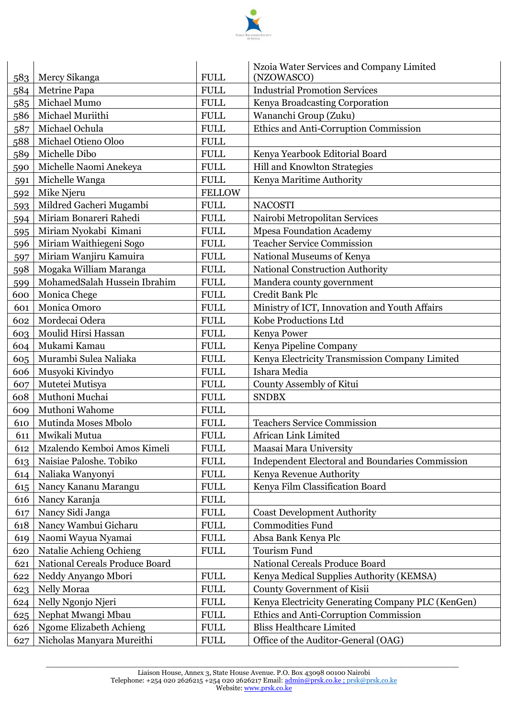

|     |                                |               | Nzoia Water Services and Company Limited               |
|-----|--------------------------------|---------------|--------------------------------------------------------|
| 583 | Mercy Sikanga                  | <b>FULL</b>   | (NZOWASCO)                                             |
| 584 | Metrine Papa                   | <b>FULL</b>   | <b>Industrial Promotion Services</b>                   |
| 585 | Michael Mumo                   | <b>FULL</b>   | Kenya Broadcasting Corporation                         |
| 586 | Michael Muriithi               | <b>FULL</b>   | Wananchi Group (Zuku)                                  |
| 587 | Michael Ochula                 | <b>FULL</b>   | Ethics and Anti-Corruption Commission                  |
| 588 | Michael Otieno Oloo            | <b>FULL</b>   |                                                        |
| 589 | Michelle Dibo                  | <b>FULL</b>   | Kenya Yearbook Editorial Board                         |
| 590 | Michelle Naomi Anekeya         | <b>FULL</b>   | Hill and Knowlton Strategies                           |
| 591 | Michelle Wanga                 | <b>FULL</b>   | Kenya Maritime Authority                               |
| 592 | Mike Njeru                     | <b>FELLOW</b> |                                                        |
| 593 | Mildred Gacheri Mugambi        | <b>FULL</b>   | <b>NACOSTI</b>                                         |
| 594 | Miriam Bonareri Rahedi         | <b>FULL</b>   | Nairobi Metropolitan Services                          |
| 595 | Miriam Nyokabi Kimani          | <b>FULL</b>   | <b>Mpesa Foundation Academy</b>                        |
| 596 | Miriam Waithiegeni Sogo        | <b>FULL</b>   | <b>Teacher Service Commission</b>                      |
| 597 | Miriam Wanjiru Kamuira         | <b>FULL</b>   | National Museums of Kenya                              |
| 598 | Mogaka William Maranga         | <b>FULL</b>   | <b>National Construction Authority</b>                 |
| 599 | MohamedSalah Hussein Ibrahim   | <b>FULL</b>   | Mandera county government                              |
| 600 | Monica Chege                   | <b>FULL</b>   | Credit Bank Plc                                        |
| 601 | Monica Omoro                   | <b>FULL</b>   | Ministry of ICT, Innovation and Youth Affairs          |
| 602 | Mordecai Odera                 | <b>FULL</b>   | Kobe Productions Ltd                                   |
| 603 | Moulid Hirsi Hassan            | <b>FULL</b>   | Kenya Power                                            |
| 604 | Mukami Kamau                   | <b>FULL</b>   | Kenya Pipeline Company                                 |
| 605 | Murambi Sulea Naliaka          | <b>FULL</b>   | Kenya Electricity Transmission Company Limited         |
| 606 | Musyoki Kivindyo               | <b>FULL</b>   | Ishara Media                                           |
| 607 | Mutetei Mutisya                | <b>FULL</b>   | County Assembly of Kitui                               |
| 608 | Muthoni Muchai                 | <b>FULL</b>   | <b>SNDBX</b>                                           |
| 609 | Muthoni Wahome                 | <b>FULL</b>   |                                                        |
| 610 | Mutinda Moses Mbolo            | <b>FULL</b>   | <b>Teachers Service Commission</b>                     |
| 611 | Mwikali Mutua                  | <b>FULL</b>   | African Link Limited                                   |
| 612 | Mzalendo Kemboi Amos Kimeli    | <b>FULL</b>   | Maasai Mara University                                 |
| 613 | Naisiae Paloshe. Tobiko        | <b>FULL</b>   | <b>Independent Electoral and Boundaries Commission</b> |
| 614 | Naliaka Wanyonyi               | <b>FULL</b>   | Kenya Revenue Authority                                |
| 615 | Nancy Kananu Marangu           | <b>FULL</b>   | Kenya Film Classification Board                        |
| 616 | Nancy Karanja                  | <b>FULL</b>   |                                                        |
| 617 | Nancy Sidi Janga               | <b>FULL</b>   | <b>Coast Development Authority</b>                     |
| 618 | Nancy Wambui Gicharu           | <b>FULL</b>   | Commodities Fund                                       |
| 619 | Naomi Wayua Nyamai             | <b>FULL</b>   | Absa Bank Kenya Plc                                    |
| 620 | Natalie Achieng Ochieng        | <b>FULL</b>   | <b>Tourism Fund</b>                                    |
| 621 | National Cereals Produce Board |               | National Cereals Produce Board                         |
| 622 | Neddy Anyango Mbori            | <b>FULL</b>   | Kenya Medical Supplies Authority (KEMSA)               |
| 623 | Nelly Moraa                    | <b>FULL</b>   | <b>County Government of Kisii</b>                      |
| 624 | Nelly Ngonjo Njeri             | <b>FULL</b>   | Kenya Electricity Generating Company PLC (KenGen)      |
| 625 | Nephat Mwangi Mbau             | <b>FULL</b>   | Ethics and Anti-Corruption Commission                  |
| 626 | Ngome Elizabeth Achieng        | <b>FULL</b>   | <b>Bliss Healthcare Limited</b>                        |
| 627 | Nicholas Manyara Mureithi      | <b>FULL</b>   | Office of the Auditor-General (OAG)                    |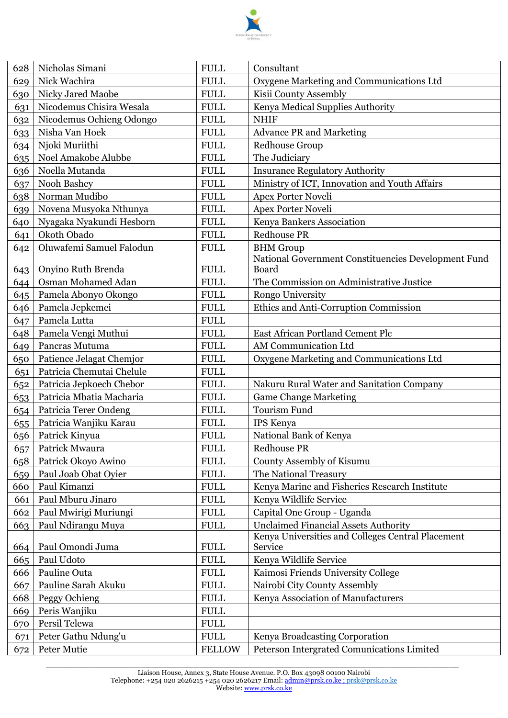

| 628 | Nicholas Simani           | <b>FULL</b>   | Consultant                                                   |
|-----|---------------------------|---------------|--------------------------------------------------------------|
| 629 | Nick Wachira              | <b>FULL</b>   | Oxygene Marketing and Communications Ltd                     |
| 630 | Nicky Jared Maobe         | <b>FULL</b>   | Kisii County Assembly                                        |
| 631 | Nicodemus Chisira Wesala  | <b>FULL</b>   | Kenya Medical Supplies Authority                             |
| 632 | Nicodemus Ochieng Odongo  | <b>FULL</b>   | <b>NHIF</b>                                                  |
| 633 | Nisha Van Hoek            | <b>FULL</b>   | <b>Advance PR and Marketing</b>                              |
| 634 | Njoki Muriithi            | <b>FULL</b>   | <b>Redhouse Group</b>                                        |
| 635 | Noel Amakobe Alubbe       | <b>FULL</b>   | The Judiciary                                                |
| 636 | Noella Mutanda            | <b>FULL</b>   | <b>Insurance Regulatory Authority</b>                        |
| 637 | Nooh Bashey               | <b>FULL</b>   | Ministry of ICT, Innovation and Youth Affairs                |
| 638 | Norman Mudibo             | <b>FULL</b>   | <b>Apex Porter Noveli</b>                                    |
| 639 | Novena Musyoka Nthunya    | <b>FULL</b>   | <b>Apex Porter Noveli</b>                                    |
| 640 | Nyagaka Nyakundi Hesborn  | <b>FULL</b>   | Kenya Bankers Association                                    |
| 641 | Okoth Obado               | <b>FULL</b>   | <b>Redhouse PR</b>                                           |
| 642 | Oluwafemi Samuel Falodun  | <b>FULL</b>   | <b>BHM</b> Group                                             |
| 643 | Onyino Ruth Brenda        | <b>FULL</b>   | National Government Constituencies Development Fund<br>Board |
| 644 | Osman Mohamed Adan        | <b>FULL</b>   | The Commission on Administrative Justice                     |
| 645 | Pamela Abonyo Okongo      | <b>FULL</b>   | Rongo University                                             |
| 646 | Pamela Jepkemei           | <b>FULL</b>   | Ethics and Anti-Corruption Commission                        |
| 647 | Pamela Lutta              | <b>FULL</b>   |                                                              |
| 648 | Pamela Vengi Muthui       | <b>FULL</b>   | East African Portland Cement Plc                             |
| 649 | Pancras Mutuma            | <b>FULL</b>   | AM Communication Ltd                                         |
| 650 | Patience Jelagat Chemjor  | <b>FULL</b>   | Oxygene Marketing and Communications Ltd                     |
| 651 | Patricia Chemutai Chelule | ${\rm FULL}$  |                                                              |
| 652 | Patricia Jepkoech Chebor  | <b>FULL</b>   | Nakuru Rural Water and Sanitation Company                    |
| 653 | Patricia Mbatia Macharia  | <b>FULL</b>   | <b>Game Change Marketing</b>                                 |
| 654 | Patricia Terer Ondeng     | ${\tt FULL}$  | Tourism Fund                                                 |
| 655 | Patricia Wanjiku Karau    | <b>FULL</b>   | <b>IPS</b> Kenya                                             |
| 656 | Patrick Kinyua            | <b>FULL</b>   | National Bank of Kenya                                       |
| 657 | Patrick Mwaura            | <b>FULL</b>   | <b>Redhouse PR</b>                                           |
| 658 | Patrick Okoyo Awino       | <b>FULL</b>   | <b>County Assembly of Kisumu</b>                             |
| 659 | Paul Joab Obat Oyier      | <b>FULL</b>   | The National Treasury                                        |
| 660 | Paul Kimanzi              | <b>FULL</b>   | Kenya Marine and Fisheries Research Institute                |
| 661 | Paul Mburu Jinaro         | <b>FULL</b>   | Kenya Wildlife Service                                       |
| 662 | Paul Mwirigi Muriungi     | <b>FULL</b>   | Capital One Group - Uganda                                   |
| 663 | Paul Ndirangu Muya        | <b>FULL</b>   | <b>Unclaimed Financial Assets Authority</b>                  |
| 664 | Paul Omondi Juma          | <b>FULL</b>   | Kenya Universities and Colleges Central Placement<br>Service |
| 665 | Paul Udoto                | <b>FULL</b>   | Kenya Wildlife Service                                       |
| 666 | Pauline Outa              | <b>FULL</b>   | Kaimosi Friends University College                           |
| 667 | Pauline Sarah Akuku       | <b>FULL</b>   | Nairobi City County Assembly                                 |
| 668 | Peggy Ochieng             | <b>FULL</b>   | Kenya Association of Manufacturers                           |
| 669 | Peris Wanjiku             | <b>FULL</b>   |                                                              |
| 670 | Persil Telewa             | <b>FULL</b>   |                                                              |
| 671 | Peter Gathu Ndung'u       | <b>FULL</b>   | Kenya Broadcasting Corporation                               |
|     |                           |               |                                                              |
| 672 | Peter Mutie               | <b>FELLOW</b> | Peterson Intergrated Comunications Limited                   |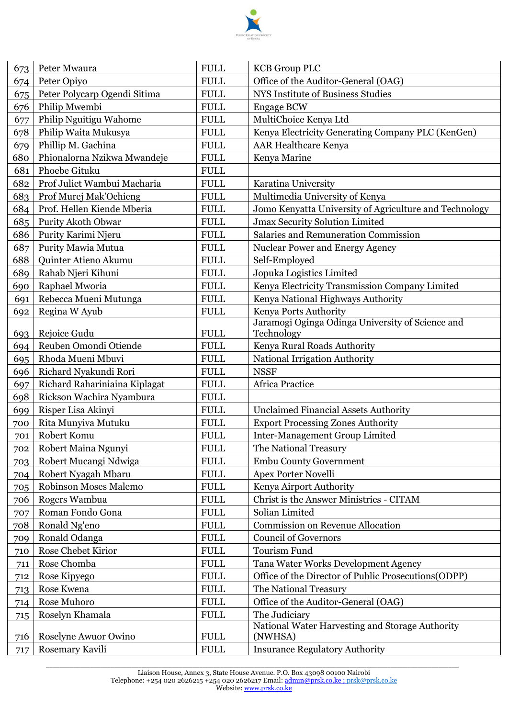

| 673 | Peter Mwaura                  | <b>FULL</b>     | <b>KCB Group PLC</b>                                           |
|-----|-------------------------------|-----------------|----------------------------------------------------------------|
| 674 | Peter Opiyo                   | <b>FULL</b>     | Office of the Auditor-General (OAG)                            |
| 675 | Peter Polycarp Ogendi Sitima  | <b>FULL</b>     | <b>NYS Institute of Business Studies</b>                       |
| 676 | Philip Mwembi                 | <b>FULL</b>     | <b>Engage BCW</b>                                              |
| 677 | Philip Nguitigu Wahome        | <b>FULL</b>     | MultiChoice Kenya Ltd                                          |
| 678 | Philip Waita Mukusya          | <b>FULL</b>     | Kenya Electricity Generating Company PLC (KenGen)              |
| 679 | Phillip M. Gachina            | <b>FULL</b>     | <b>AAR Healthcare Kenya</b>                                    |
| 680 | Phionalorna Nzikwa Mwandeje   | <b>FULL</b>     | Kenya Marine                                                   |
| 681 | Phoebe Gituku                 | <b>FULL</b>     |                                                                |
| 682 | Prof Juliet Wambui Macharia   | <b>FULL</b>     | Karatina University                                            |
| 683 | Prof Murej Mak'Ochieng        | ${\hbox{FULL}}$ | Multimedia University of Kenya                                 |
| 684 | Prof. Hellen Kiende Mberia    | <b>FULL</b>     | Jomo Kenyatta University of Agriculture and Technology         |
| 685 | Purity Akoth Obwar            | ${\hbox{FULL}}$ | Jmax Security Solution Limited                                 |
| 686 | Purity Karimi Njeru           | ${\tt FULL}$    | Salaries and Remuneration Commission                           |
| 687 | Purity Mawia Mutua            | <b>FULL</b>     | <b>Nuclear Power and Energy Agency</b>                         |
| 688 | Quinter Atieno Akumu          | <b>FULL</b>     | Self-Employed                                                  |
| 689 | Rahab Njeri Kihuni            | <b>FULL</b>     | Jopuka Logistics Limited                                       |
| 690 | Raphael Mworia                | <b>FULL</b>     | Kenya Electricity Transmission Company Limited                 |
| 691 | Rebecca Mueni Mutunga         | <b>FULL</b>     | Kenya National Highways Authority                              |
| 692 | Regina W Ayub                 | <b>FULL</b>     | Kenya Ports Authority                                          |
| 693 | Rejoice Gudu                  | <b>FULL</b>     | Jaramogi Oginga Odinga University of Science and<br>Technology |
| 694 | Reuben Omondi Otiende         | <b>FULL</b>     | Kenya Rural Roads Authority                                    |
| 695 | Rhoda Mueni Mbuvi             | <b>FULL</b>     | <b>National Irrigation Authority</b>                           |
| 696 | Richard Nyakundi Rori         | <b>FULL</b>     | <b>NSSF</b>                                                    |
| 697 | Richard Rahariniaina Kiplagat | <b>FULL</b>     | Africa Practice                                                |
| 698 | Rickson Wachira Nyambura      | <b>FULL</b>     |                                                                |
| 699 | Risper Lisa Akinyi            | <b>FULL</b>     | <b>Unclaimed Financial Assets Authority</b>                    |
| 700 | Rita Munyiva Mutuku           | <b>FULL</b>     | <b>Export Processing Zones Authority</b>                       |
| 701 | Robert Komu                   | <b>FULL</b>     | <b>Inter-Management Group Limited</b>                          |
| 702 | Robert Maina Ngunyi           | <b>FULL</b>     | The National Treasury                                          |
| 703 | Robert Mucangi Ndwiga         | <b>FULL</b>     | <b>Embu County Government</b>                                  |
| 704 | Robert Nyagah Mbaru           | <b>FULL</b>     | Apex Porter Novelli                                            |
| 705 | Robinson Moses Malemo         | <b>FULL</b>     | Kenya Airport Authority                                        |
| 706 | Rogers Wambua                 | <b>FULL</b>     | Christ is the Answer Ministries - CITAM                        |
| 707 | Roman Fondo Gona              | <b>FULL</b>     | Solian Limited                                                 |
| 708 | Ronald Ng'eno                 | <b>FULL</b>     | Commission on Revenue Allocation                               |
| 709 | Ronald Odanga                 | <b>FULL</b>     | <b>Council of Governors</b>                                    |
| 710 | Rose Chebet Kirior            | <b>FULL</b>     | Tourism Fund                                                   |
| 711 | Rose Chomba                   | <b>FULL</b>     | Tana Water Works Development Agency                            |
| 712 | Rose Kipyego                  | <b>FULL</b>     | Office of the Director of Public Prosecutions(ODPP)            |
| 713 | Rose Kwena                    | <b>FULL</b>     | The National Treasury                                          |
| 714 | Rose Muhoro                   | <b>FULL</b>     | Office of the Auditor-General (OAG)                            |
| 715 | Roselyn Khamala               | <b>FULL</b>     | The Judiciary                                                  |
|     |                               |                 | National Water Harvesting and Storage Authority                |
| 716 | Roselyne Awuor Owino          | <b>FULL</b>     | (NWHSA)                                                        |
| 717 | Rosemary Kavili               | <b>FULL</b>     | <b>Insurance Regulatory Authority</b>                          |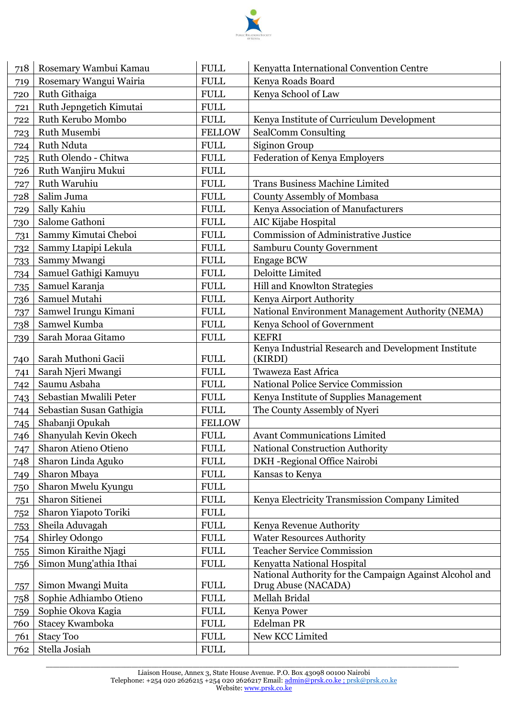

| 718 | Rosemary Wambui Kamau    | <b>FULL</b>   | Kenyatta International Convention Centre                                       |
|-----|--------------------------|---------------|--------------------------------------------------------------------------------|
| 719 | Rosemary Wangui Wairia   | <b>FULL</b>   | Kenya Roads Board                                                              |
| 720 | Ruth Githaiga            | <b>FULL</b>   | Kenya School of Law                                                            |
| 721 | Ruth Jepngetich Kimutai  | <b>FULL</b>   |                                                                                |
| 722 | Ruth Kerubo Mombo        | <b>FULL</b>   | Kenya Institute of Curriculum Development                                      |
| 723 | Ruth Musembi             | <b>FELLOW</b> | SealComm Consulting                                                            |
| 724 | Ruth Nduta               | <b>FULL</b>   | Siginon Group                                                                  |
| 725 | Ruth Olendo - Chitwa     | <b>FULL</b>   | <b>Federation of Kenya Employers</b>                                           |
| 726 | Ruth Wanjiru Mukui       | <b>FULL</b>   |                                                                                |
| 727 | Ruth Waruhiu             | <b>FULL</b>   | <b>Trans Business Machine Limited</b>                                          |
| 728 | Salim Juma               | <b>FULL</b>   | <b>County Assembly of Mombasa</b>                                              |
| 729 | Sally Kahiu              | <b>FULL</b>   | Kenya Association of Manufacturers                                             |
| 730 | Salome Gathoni           | <b>FULL</b>   | AIC Kijabe Hospital                                                            |
| 731 | Sammy Kimutai Cheboi     | <b>FULL</b>   | <b>Commission of Administrative Justice</b>                                    |
| 732 | Sammy Ltapipi Lekula     | <b>FULL</b>   | Samburu County Government                                                      |
| 733 | Sammy Mwangi             | <b>FULL</b>   | <b>Engage BCW</b>                                                              |
| 734 | Samuel Gathigi Kamuyu    | <b>FULL</b>   | Deloitte Limited                                                               |
| 735 | Samuel Karanja           | <b>FULL</b>   | Hill and Knowlton Strategies                                                   |
| 736 | Samuel Mutahi            | <b>FULL</b>   | Kenya Airport Authority                                                        |
| 737 | Samwel Irungu Kimani     | <b>FULL</b>   | National Environment Management Authority (NEMA)                               |
| 738 | Samwel Kumba             | <b>FULL</b>   | Kenya School of Government                                                     |
| 739 | Sarah Moraa Gitamo       | <b>FULL</b>   | <b>KEFRI</b>                                                                   |
| 740 | Sarah Muthoni Gacii      | <b>FULL</b>   | Kenya Industrial Research and Development Institute<br>(KIRDI)                 |
| 741 | Sarah Njeri Mwangi       | <b>FULL</b>   | <b>Twaweza East Africa</b>                                                     |
| 742 | Saumu Asbaha             | <b>FULL</b>   | National Police Service Commission                                             |
| 743 | Sebastian Mwalili Peter  | <b>FULL</b>   | Kenya Institute of Supplies Management                                         |
| 744 | Sebastian Susan Gathigia | ${\rm FULL}$  | The County Assembly of Nyeri                                                   |
| 745 | Shabanji Opukah          | <b>FELLOW</b> |                                                                                |
| 746 | Shanyulah Kevin Okech    | <b>FULL</b>   | <b>Avant Communications Limited</b>                                            |
| 747 | Sharon Atieno Otieno     | <b>FULL</b>   | <b>National Construction Authority</b>                                         |
| 748 | Sharon Linda Aguko       | <b>FULL</b>   | DKH - Regional Office Nairobi                                                  |
| 749 | Sharon Mbaya             | <b>FULL</b>   | Kansas to Kenya                                                                |
| 750 | Sharon Mwelu Kyungu      | <b>FULL</b>   |                                                                                |
| 751 | Sharon Sitienei          | <b>FULL</b>   | Kenya Electricity Transmission Company Limited                                 |
| 752 | Sharon Yiapoto Toriki    | <b>FULL</b>   |                                                                                |
| 753 | Sheila Aduvagah          | <b>FULL</b>   | Kenya Revenue Authority                                                        |
| 754 | Shirley Odongo           | <b>FULL</b>   | <b>Water Resources Authority</b>                                               |
| 755 | Simon Kiraithe Njagi     | <b>FULL</b>   | <b>Teacher Service Commission</b>                                              |
| 756 | Simon Mung'athia Ithai   | <b>FULL</b>   | Kenyatta National Hospital                                                     |
| 757 | Simon Mwangi Muita       | <b>FULL</b>   | National Authority for the Campaign Against Alcohol and<br>Drug Abuse (NACADA) |
| 758 | Sophie Adhiambo Otieno   | <b>FULL</b>   | Mellah Bridal                                                                  |
| 759 | Sophie Okova Kagia       | <b>FULL</b>   | Kenya Power                                                                    |
| 760 | <b>Stacey Kwamboka</b>   | <b>FULL</b>   | Edelman PR                                                                     |
| 761 | <b>Stacy Too</b>         | <b>FULL</b>   | New KCC Limited                                                                |
| 762 | Stella Josiah            | <b>FULL</b>   |                                                                                |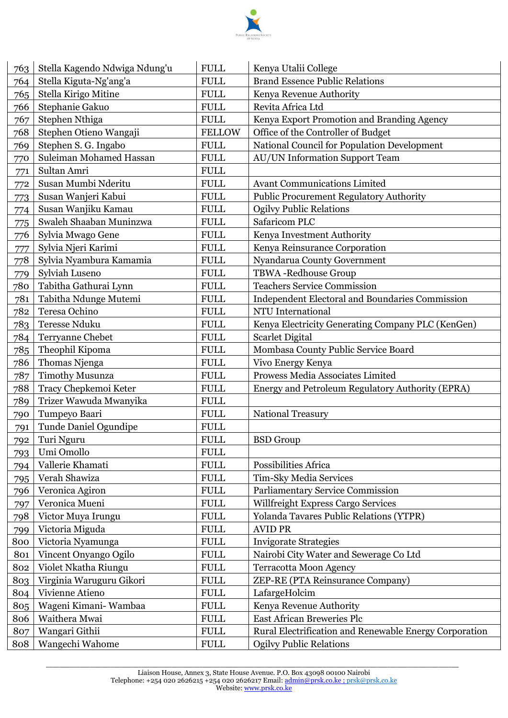

| 763 | Stella Kagendo Ndwiga Ndung'u | <b>FULL</b>   | Kenya Utalii College                                   |
|-----|-------------------------------|---------------|--------------------------------------------------------|
| 764 | Stella Kiguta-Ng'ang'a        | <b>FULL</b>   | <b>Brand Essence Public Relations</b>                  |
| 765 | Stella Kirigo Mitine          | <b>FULL</b>   | Kenya Revenue Authority                                |
| 766 | Stephanie Gakuo               | <b>FULL</b>   | Revita Africa Ltd                                      |
| 767 | Stephen Nthiga                | <b>FULL</b>   | Kenya Export Promotion and Branding Agency             |
| 768 | Stephen Otieno Wangaji        | <b>FELLOW</b> | Office of the Controller of Budget                     |
| 769 | Stephen S. G. Ingabo          | <b>FULL</b>   | National Council for Population Development            |
| 770 | Suleiman Mohamed Hassan       | <b>FULL</b>   | <b>AU/UN Information Support Team</b>                  |
| 771 | Sultan Amri                   | <b>FULL</b>   |                                                        |
| 772 | Susan Mumbi Nderitu           | <b>FULL</b>   | <b>Avant Communications Limited</b>                    |
| 773 | Susan Wanjeri Kabui           | <b>FULL</b>   | <b>Public Procurement Regulatory Authority</b>         |
| 774 | Susan Wanjiku Kamau           | <b>FULL</b>   | <b>Ogilvy Public Relations</b>                         |
| 775 | Swaleh Shaaban Muninzwa       | <b>FULL</b>   | Safaricom PLC                                          |
| 776 | Sylvia Mwago Gene             | <b>FULL</b>   | Kenya Investment Authority                             |
| 777 | Sylvia Njeri Karimi           | <b>FULL</b>   | Kenya Reinsurance Corporation                          |
| 778 | Sylvia Nyambura Kamamia       | <b>FULL</b>   | Nyandarua County Government                            |
| 779 | Sylviah Luseno                | <b>FULL</b>   | TBWA-Redhouse Group                                    |
| 780 | Tabitha Gathurai Lynn         | <b>FULL</b>   | <b>Teachers Service Commission</b>                     |
| 781 | Tabitha Ndunge Mutemi         | <b>FULL</b>   | Independent Electoral and Boundaries Commission        |
| 782 | Teresa Ochino                 | <b>FULL</b>   | NTU International                                      |
| 783 | Teresse Nduku                 | <b>FULL</b>   | Kenya Electricity Generating Company PLC (KenGen)      |
| 784 | Terryanne Chebet              | <b>FULL</b>   | Scarlet Digital                                        |
| 785 | Theophil Kipoma               | <b>FULL</b>   | Mombasa County Public Service Board                    |
| 786 | Thomas Njenga                 | <b>FULL</b>   | Vivo Energy Kenya                                      |
| 787 | <b>Timothy Musunza</b>        | <b>FULL</b>   | Prowess Media Associates Limited                       |
| 788 | Tracy Chepkemoi Keter         | <b>FULL</b>   | Energy and Petroleum Regulatory Authority (EPRA)       |
| 789 | Trizer Wawuda Mwanyika        | <b>FULL</b>   |                                                        |
| 790 | Tumpeyo Baari                 | <b>FULL</b>   | <b>National Treasury</b>                               |
| 791 | Tunde Daniel Ogundipe         | <b>FULL</b>   |                                                        |
| 792 | Turi Nguru                    | <b>FULL</b>   | <b>BSD</b> Group                                       |
| 793 | Umi Omollo                    | <b>FULL</b>   |                                                        |
| 794 | Vallerie Khamati              | <b>FULL</b>   | Possibilities Africa                                   |
| 795 | Verah Shawiza                 | <b>FULL</b>   | Tim-Sky Media Services                                 |
| 796 | Veronica Agiron               | <b>FULL</b>   | <b>Parliamentary Service Commission</b>                |
| 797 | Veronica Mueni                | <b>FULL</b>   | Willfreight Express Cargo Services                     |
| 798 | Victor Muya Irungu            | <b>FULL</b>   | Yolanda Tavares Public Relations (YTPR)                |
| 799 | Victoria Miguda               | <b>FULL</b>   | <b>AVID PR</b>                                         |
| 800 | Victoria Nyamunga             | <b>FULL</b>   | <b>Invigorate Strategies</b>                           |
| 801 | Vincent Onyango Ogilo         | <b>FULL</b>   | Nairobi City Water and Sewerage Co Ltd                 |
| 802 | Violet Nkatha Riungu          | <b>FULL</b>   | <b>Terracotta Moon Agency</b>                          |
| 803 | Virginia Waruguru Gikori      | <b>FULL</b>   | ZEP-RE (PTA Reinsurance Company)                       |
| 804 | Vivienne Atieno               | <b>FULL</b>   | LafargeHolcim                                          |
| 805 | Wageni Kimani- Wambaa         | <b>FULL</b>   | Kenya Revenue Authority                                |
| 806 | Waithera Mwai                 | <b>FULL</b>   | <b>East African Breweries Plc</b>                      |
| 807 | Wangari Githii                | <b>FULL</b>   | Rural Electrification and Renewable Energy Corporation |
| 808 | Wangechi Wahome               | <b>FULL</b>   | <b>Ogilvy Public Relations</b>                         |